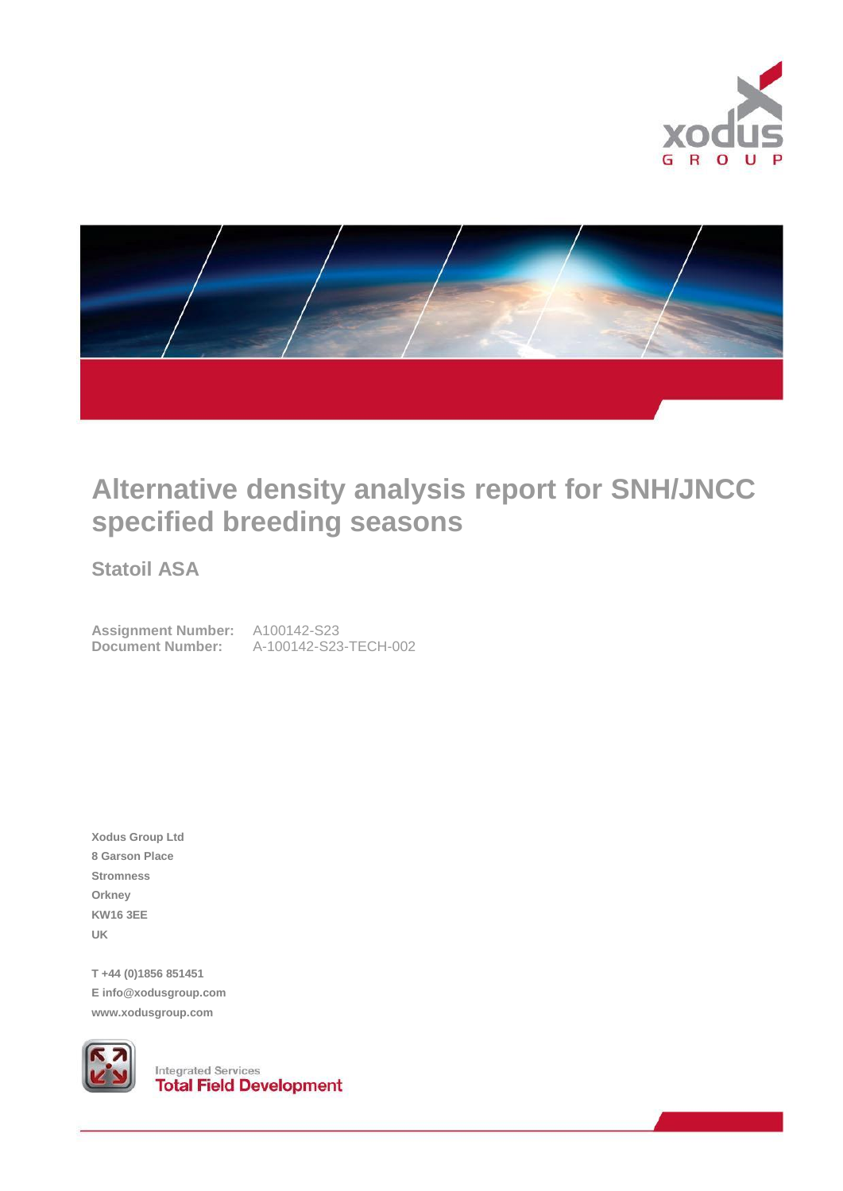



# **Alternative density analysis report for SNH/JNCC specified breeding seasons**

**Statoil ASA**

**Assignment Number:** A100142-S23 **Document Number:** A-100142-S23-TECH-002

**Xodus Group Ltd 8 Garson Place Stromness Orkney KW16 3EE UK**

**T +44 (0)1856 851451 E info@xodusgroup.com www.xodusgroup.com**



**Integrated Services**<br>**Total Field Development**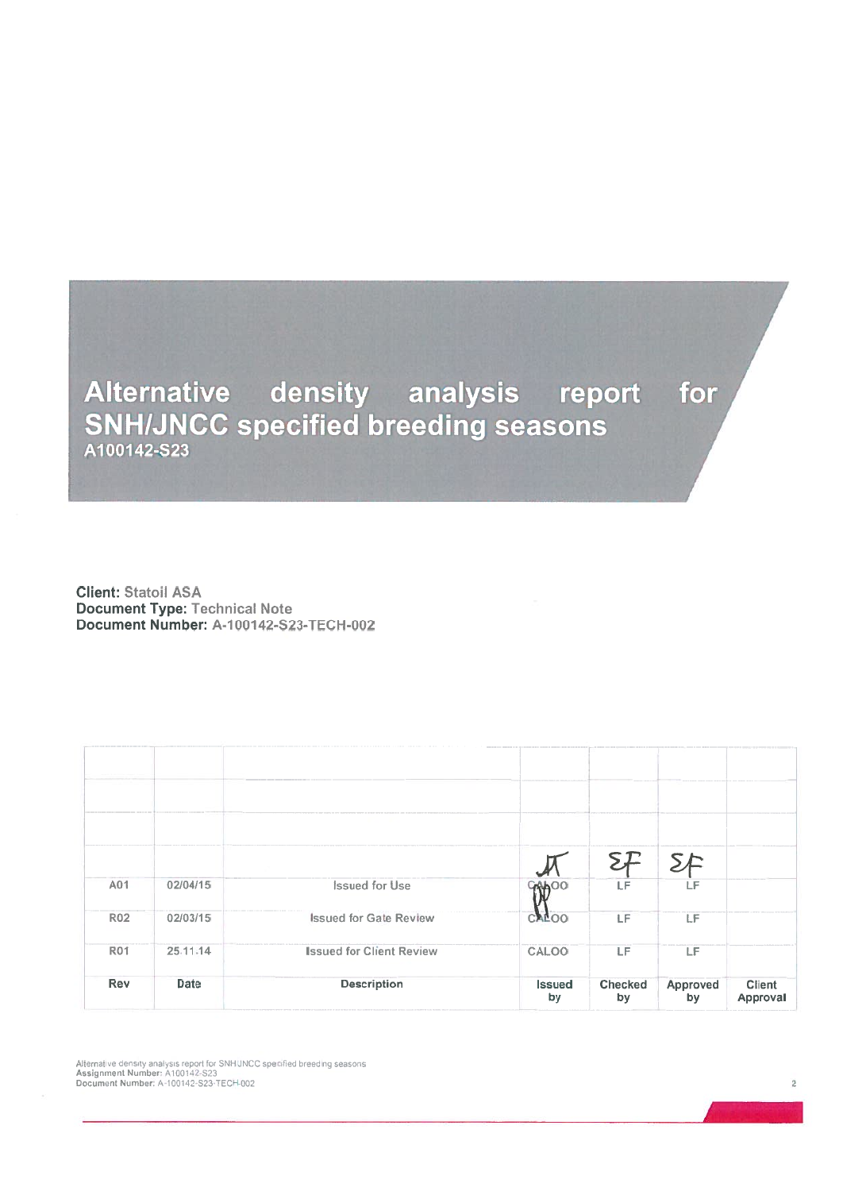## Alternative density analysis report for **SNH/JNCC specified breeding seasons**

**Client: Statoil ASA Document Type: Technical Note** Document Number: A-100142-S23-TECH-002

|                 |             |                                 |                     |               | SE             |                           |
|-----------------|-------------|---------------------------------|---------------------|---------------|----------------|---------------------------|
| A01             | 02/04/15    | <b>Issued for Use</b>           | <b>GAAOO</b>        | LF            | LF             |                           |
| R <sub>02</sub> | 02/03/15    | <b>Issued for Gate Review</b>   | <b>CALOO</b>        | LF            | LF             |                           |
| <b>R01</b>      | 25.11.14    | <b>Issued for Client Review</b> | CALOO               | LF            | LF             |                           |
| Rev             | <b>Date</b> | <b>Description</b>              | <b>Issued</b><br>by | Checked<br>by | Approved<br>by | <b>Client</b><br>Approval |

Alternative density analysis report for SNH/JNCC specified breeding seasons<br>Assignment Number: A100142-S23<br>Document Number: A-100142-S23-TECH-002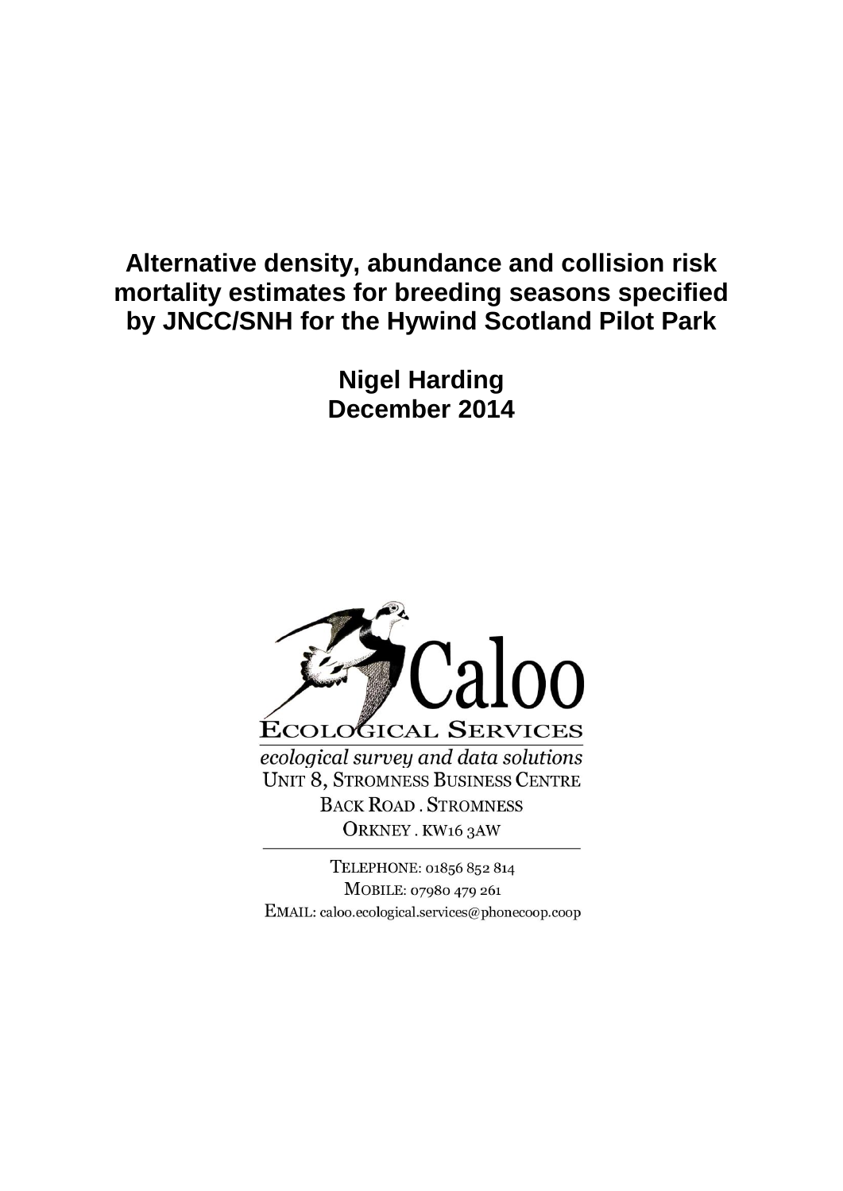## **Alternative density, abundance and collision risk mortality estimates for breeding seasons specified by JNCC/SNH for the Hywind Scotland Pilot Park**

**Nigel Harding December 2014**



TELEPHONE: 01856 852 814 MOBILE: 07980 479 261 EMAIL: caloo.ecological.services@phonecoop.coop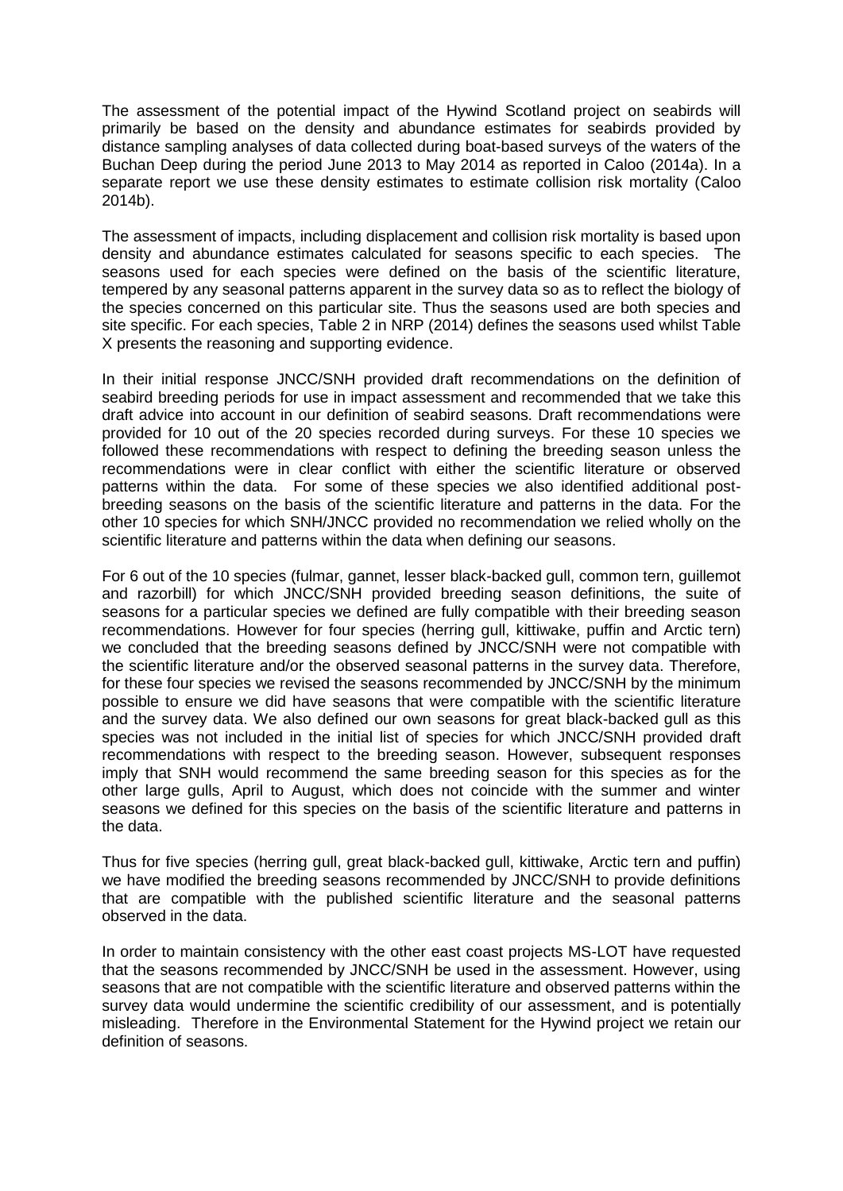The assessment of the potential impact of the Hywind Scotland project on seabirds will primarily be based on the density and abundance estimates for seabirds provided by distance sampling analyses of data collected during boat-based surveys of the waters of the Buchan Deep during the period June 2013 to May 2014 as reported in Caloo (2014a). In a separate report we use these density estimates to estimate collision risk mortality (Caloo 2014b).

The assessment of impacts, including displacement and collision risk mortality is based upon density and abundance estimates calculated for seasons specific to each species. The seasons used for each species were defined on the basis of the scientific literature, tempered by any seasonal patterns apparent in the survey data so as to reflect the biology of the species concerned on this particular site. Thus the seasons used are both species and site specific. For each species, Table 2 in NRP (2014) defines the seasons used whilst Table X presents the reasoning and supporting evidence.

In their initial response JNCC/SNH provided draft recommendations on the definition of seabird breeding periods for use in impact assessment and recommended that we take this draft advice into account in our definition of seabird seasons. Draft recommendations were provided for 10 out of the 20 species recorded during surveys. For these 10 species we followed these recommendations with respect to defining the breeding season unless the recommendations were in clear conflict with either the scientific literature or observed patterns within the data. For some of these species we also identified additional postbreeding seasons on the basis of the scientific literature and patterns in the data. For the other 10 species for which SNH/JNCC provided no recommendation we relied wholly on the scientific literature and patterns within the data when defining our seasons.

For 6 out of the 10 species (fulmar, gannet, lesser black-backed gull, common tern, guillemot and razorbill) for which JNCC/SNH provided breeding season definitions, the suite of seasons for a particular species we defined are fully compatible with their breeding season recommendations. However for four species (herring gull, kittiwake, puffin and Arctic tern) we concluded that the breeding seasons defined by JNCC/SNH were not compatible with the scientific literature and/or the observed seasonal patterns in the survey data. Therefore, for these four species we revised the seasons recommended by JNCC/SNH by the minimum possible to ensure we did have seasons that were compatible with the scientific literature and the survey data. We also defined our own seasons for great black-backed gull as this species was not included in the initial list of species for which JNCC/SNH provided draft recommendations with respect to the breeding season. However, subsequent responses imply that SNH would recommend the same breeding season for this species as for the other large gulls, April to August, which does not coincide with the summer and winter seasons we defined for this species on the basis of the scientific literature and patterns in the data.

Thus for five species (herring gull, great black-backed gull, kittiwake, Arctic tern and puffin) we have modified the breeding seasons recommended by JNCC/SNH to provide definitions that are compatible with the published scientific literature and the seasonal patterns observed in the data.

In order to maintain consistency with the other east coast projects MS-LOT have requested that the seasons recommended by JNCC/SNH be used in the assessment. However, using seasons that are not compatible with the scientific literature and observed patterns within the survey data would undermine the scientific credibility of our assessment, and is potentially misleading. Therefore in the Environmental Statement for the Hywind project we retain our definition of seasons.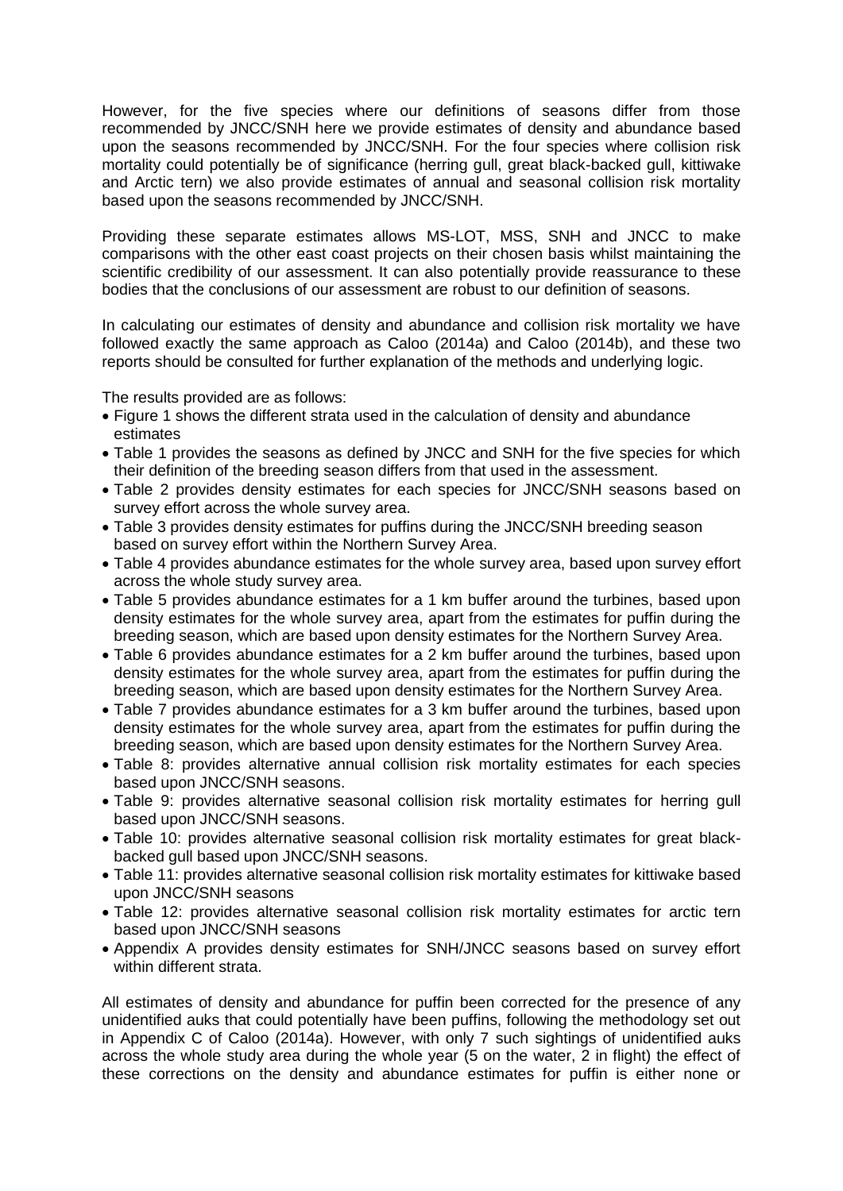However, for the five species where our definitions of seasons differ from those recommended by JNCC/SNH here we provide estimates of density and abundance based upon the seasons recommended by JNCC/SNH. For the four species where collision risk mortality could potentially be of significance (herring gull, great black-backed gull, kittiwake and Arctic tern) we also provide estimates of annual and seasonal collision risk mortality based upon the seasons recommended by JNCC/SNH.

Providing these separate estimates allows MS-LOT, MSS, SNH and JNCC to make comparisons with the other east coast projects on their chosen basis whilst maintaining the scientific credibility of our assessment. It can also potentially provide reassurance to these bodies that the conclusions of our assessment are robust to our definition of seasons.

In calculating our estimates of density and abundance and collision risk mortality we have followed exactly the same approach as Caloo (2014a) and Caloo (2014b), and these two reports should be consulted for further explanation of the methods and underlying logic.

The results provided are as follows:

- Figure 1 shows the different strata used in the calculation of density and abundance estimates
- Table 1 provides the seasons as defined by JNCC and SNH for the five species for which their definition of the breeding season differs from that used in the assessment.
- Table 2 provides density estimates for each species for JNCC/SNH seasons based on survey effort across the whole survey area.
- Table 3 provides density estimates for puffins during the JNCC/SNH breeding season based on survey effort within the Northern Survey Area.
- Table 4 provides abundance estimates for the whole survey area, based upon survey effort across the whole study survey area.
- Table 5 provides abundance estimates for a 1 km buffer around the turbines, based upon density estimates for the whole survey area, apart from the estimates for puffin during the breeding season, which are based upon density estimates for the Northern Survey Area.
- Table 6 provides abundance estimates for a 2 km buffer around the turbines, based upon density estimates for the whole survey area, apart from the estimates for puffin during the breeding season, which are based upon density estimates for the Northern Survey Area.
- Table 7 provides abundance estimates for a 3 km buffer around the turbines, based upon density estimates for the whole survey area, apart from the estimates for puffin during the breeding season, which are based upon density estimates for the Northern Survey Area.
- Table 8: provides alternative annual collision risk mortality estimates for each species based upon JNCC/SNH seasons.
- Table 9: provides alternative seasonal collision risk mortality estimates for herring gull based upon JNCC/SNH seasons.
- Table 10: provides alternative seasonal collision risk mortality estimates for great blackbacked gull based upon JNCC/SNH seasons.
- Table 11: provides alternative seasonal collision risk mortality estimates for kittiwake based upon JNCC/SNH seasons
- Table 12: provides alternative seasonal collision risk mortality estimates for arctic tern based upon JNCC/SNH seasons
- Appendix A provides density estimates for SNH/JNCC seasons based on survey effort within different strata.

All estimates of density and abundance for puffin been corrected for the presence of any unidentified auks that could potentially have been puffins, following the methodology set out in Appendix C of Caloo (2014a). However, with only 7 such sightings of unidentified auks across the whole study area during the whole year (5 on the water, 2 in flight) the effect of these corrections on the density and abundance estimates for puffin is either none or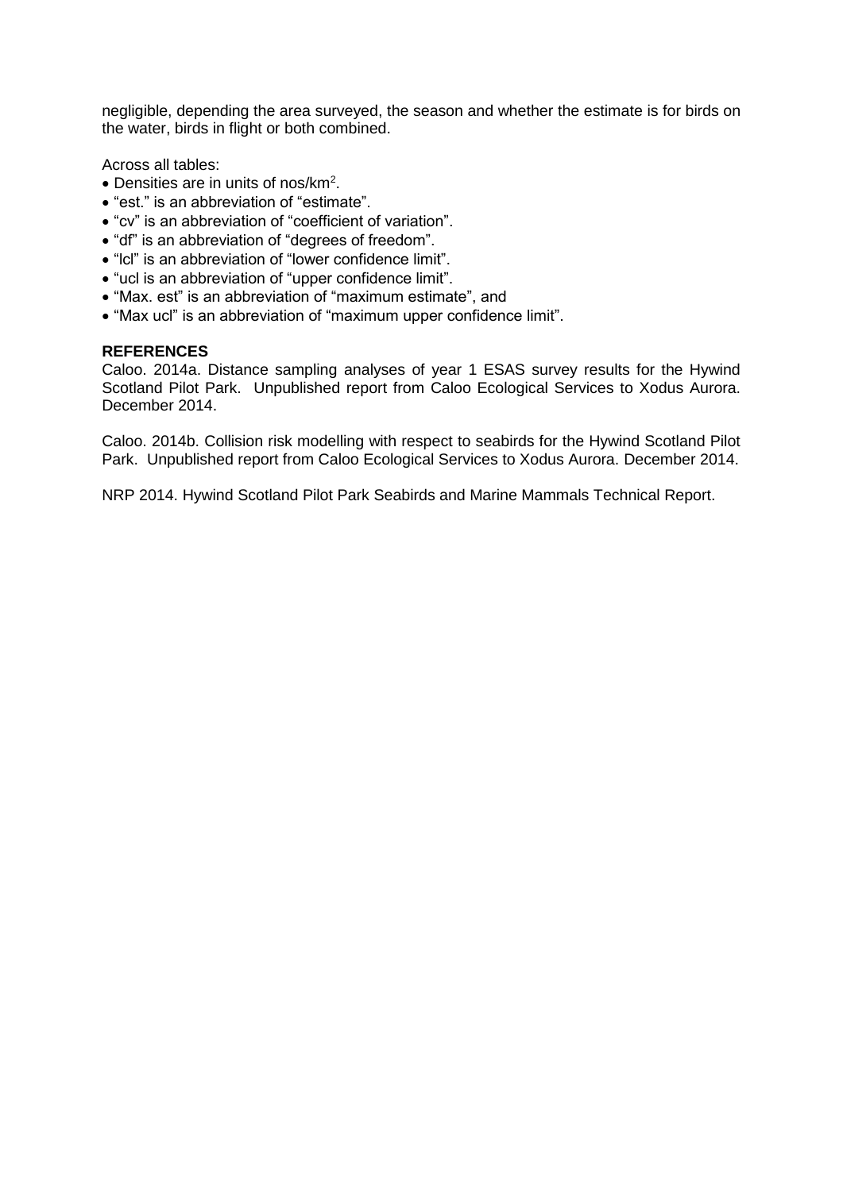negligible, depending the area surveyed, the season and whether the estimate is for birds on the water, birds in flight or both combined.

Across all tables:

- Densities are in units of nos/km<sup>2</sup>.
- "est." is an abbreviation of "estimate".
- "cv" is an abbreviation of "coefficient of variation".
- "df" is an abbreviation of "degrees of freedom".
- "lcl" is an abbreviation of "lower confidence limit".
- "ucl is an abbreviation of "upper confidence limit".
- "Max. est" is an abbreviation of "maximum estimate", and
- "Max ucl" is an abbreviation of "maximum upper confidence limit".

#### **REFERENCES**

Caloo. 2014a. Distance sampling analyses of year 1 ESAS survey results for the Hywind Scotland Pilot Park. Unpublished report from Caloo Ecological Services to Xodus Aurora. December 2014.

Caloo. 2014b. Collision risk modelling with respect to seabirds for the Hywind Scotland Pilot Park. Unpublished report from Caloo Ecological Services to Xodus Aurora. December 2014.

NRP 2014. Hywind Scotland Pilot Park Seabirds and Marine Mammals Technical Report.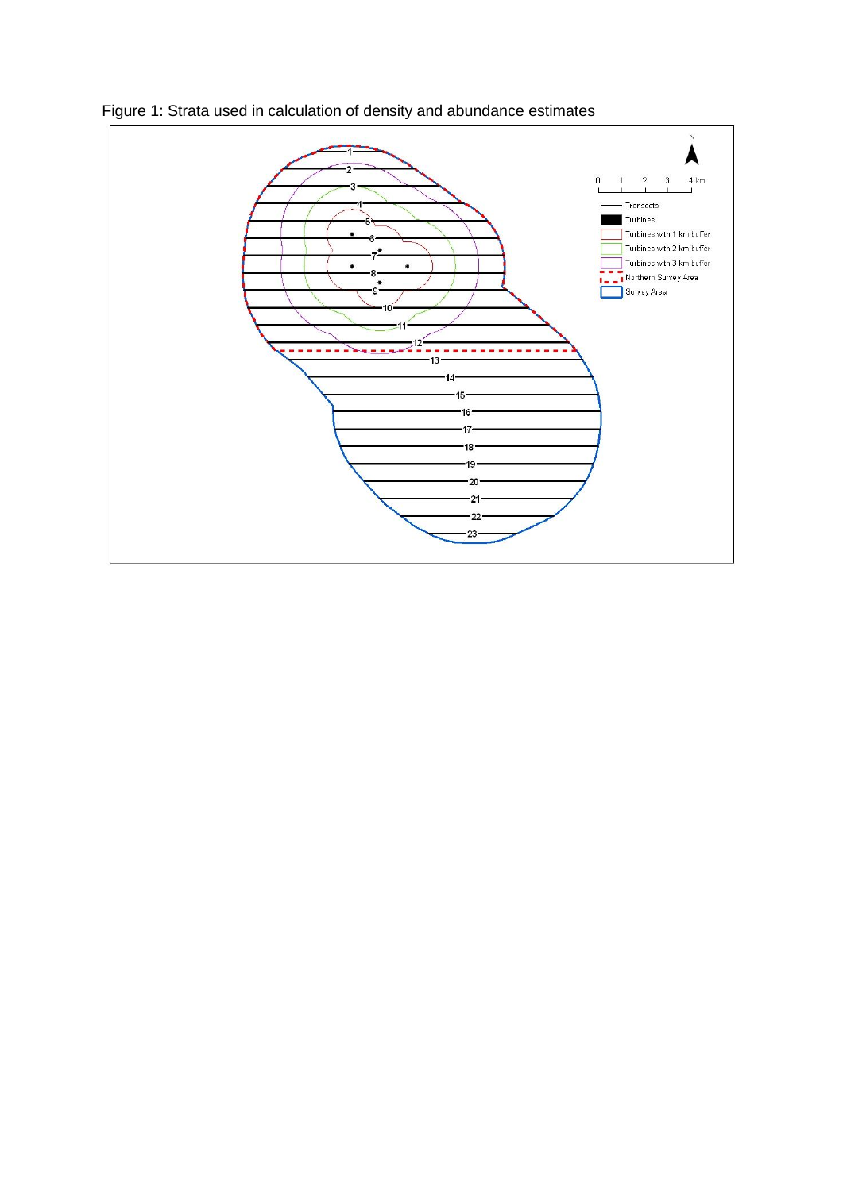

Figure 1: Strata used in calculation of density and abundance estimates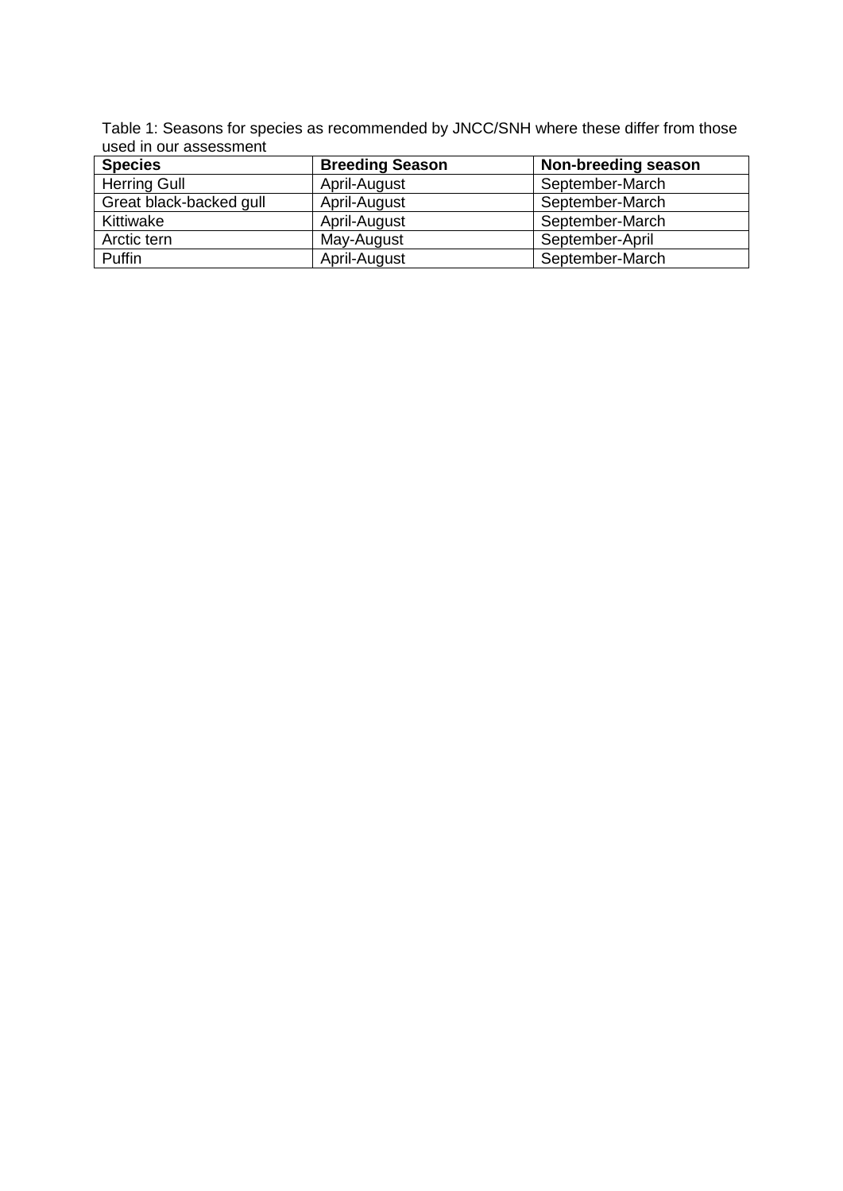Table 1: Seasons for species as recommended by JNCC/SNH where these differ from those used in our assessment

| <b>Species</b>          | <b>Breeding Season</b> | Non-breeding season |
|-------------------------|------------------------|---------------------|
| <b>Herring Gull</b>     | April-August           | September-March     |
| Great black-backed gull | April-August           | September-March     |
| Kittiwake               | April-August           | September-March     |
| Arctic tern             | May-August             | September-April     |
| Puffin                  | April-August           | September-March     |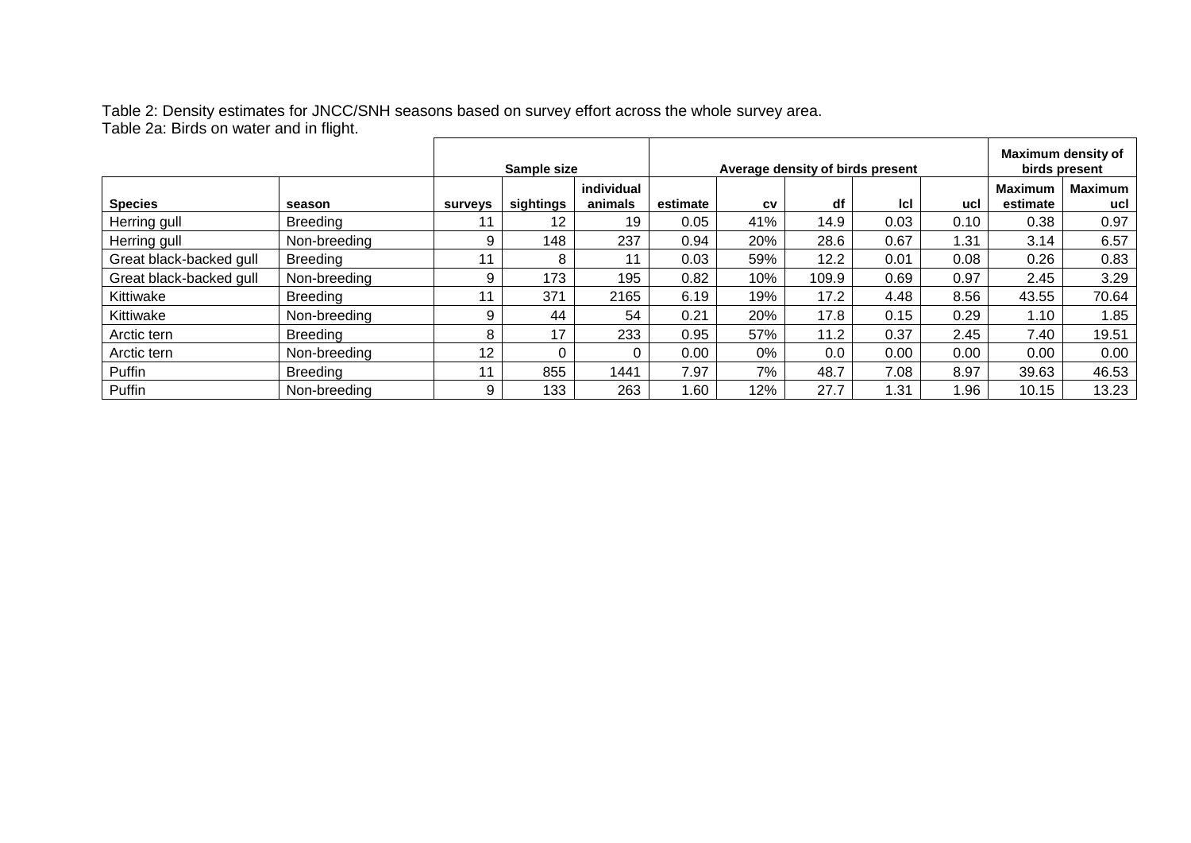Table 2: Density estimates for JNCC/SNH seasons based on survey effort across the whole survey area. Table 2a: Birds on water and in flight.

|                         |                 |                | Sample size |                       |          |     | Average density of birds present |      |      |                            | Maximum density of<br>birds present |
|-------------------------|-----------------|----------------|-------------|-----------------------|----------|-----|----------------------------------|------|------|----------------------------|-------------------------------------|
| <b>Species</b>          | season          | <b>surveys</b> | sightings   | individual<br>animals | estimate | CV  | df                               | Icl  | ucl  | <b>Maximum</b><br>estimate | <b>Maximum</b><br>ucl               |
| Herring gull            | Breeding        |                | 12          | 19                    | 0.05     | 41% | 14.9                             | 0.03 | 0.10 | 0.38                       | 0.97                                |
| Herring gull            | Non-breeding    | 9              | 148         | 237                   | 0.94     | 20% | 28.6                             | 0.67 | 1.31 | 3.14                       | 6.57                                |
| Great black-backed gull | <b>Breeding</b> |                | 8           |                       | 0.03     | 59% | 12.2                             | 0.01 | 0.08 | 0.26                       | 0.83                                |
| Great black-backed gull | Non-breeding    | 9              | 173         | 195                   | 0.82     | 10% | 109.9                            | 0.69 | 0.97 | 2.45                       | 3.29                                |
| Kittiwake               | <b>Breeding</b> |                | 371         | 2165                  | 6.19     | 19% | 17.2                             | 4.48 | 8.56 | 43.55                      | 70.64                               |
| Kittiwake               | Non-breeding    | 9              | 44          | 54                    | 0.21     | 20% | 17.8                             | 0.15 | 0.29 | 1.10                       | 1.85                                |
| Arctic tern             | <b>Breeding</b> | 8              | 17          | 233                   | 0.95     | 57% | 11.2                             | 0.37 | 2.45 | 7.40                       | 19.51                               |
| Arctic tern             | Non-breeding    | 12             |             | 0                     | 0.00     | 0%  | 0.0                              | 0.00 | 0.00 | 0.00                       | 0.00                                |
| Puffin                  | <b>Breeding</b> |                | 855         | 1441                  | 7.97     | 7%  | 48.7                             | 7.08 | 8.97 | 39.63                      | 46.53                               |
| Puffin                  | Non-breeding    | 9              | 133         | 263                   | .60      | 12% | 27.7                             | 1.31 | 1.96 | 10.15                      | 13.23                               |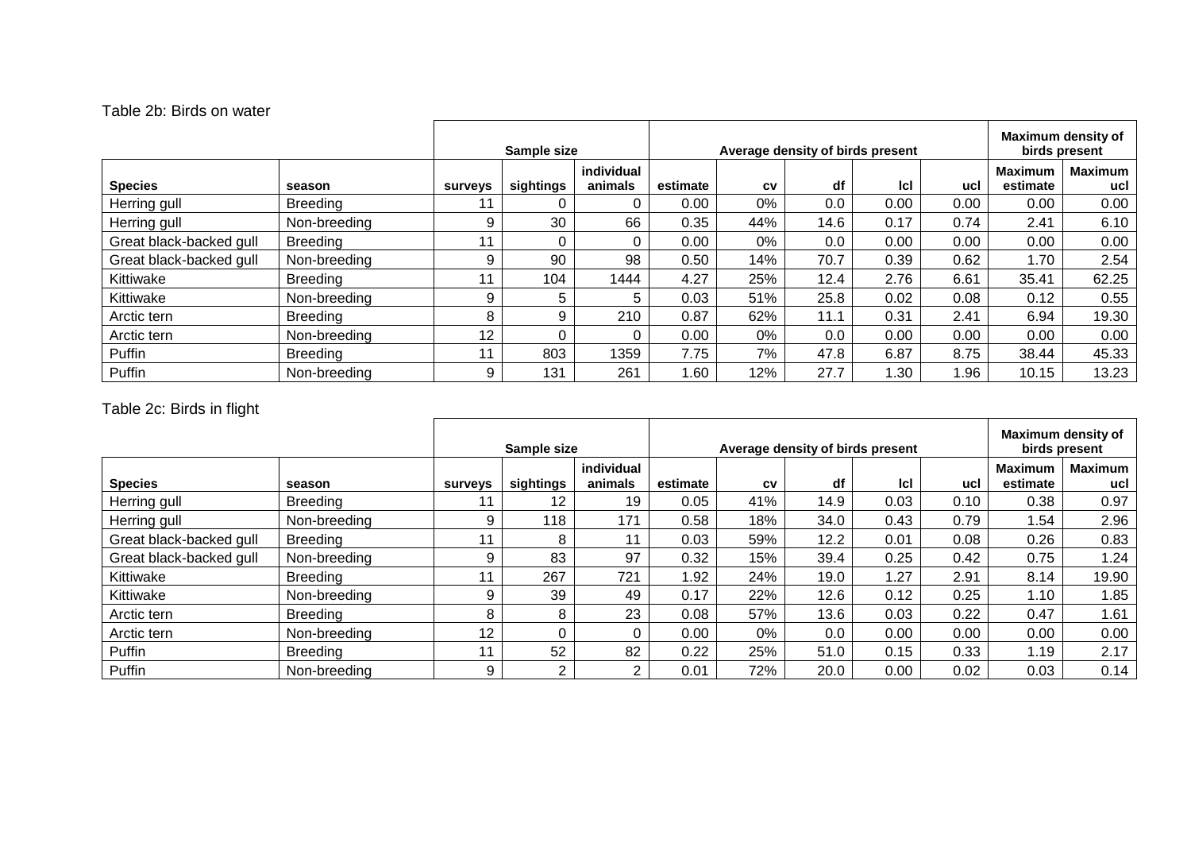#### Table 2b: Birds on water

|                         |                 |                | Sample size |                       |          |     | Average density of birds present |            |      |                            | Maximum density of<br>birds present |
|-------------------------|-----------------|----------------|-------------|-----------------------|----------|-----|----------------------------------|------------|------|----------------------------|-------------------------------------|
| <b>Species</b>          | season          | <b>surveys</b> | sightings   | individual<br>animals | estimate | CV  | df                               | <b>Icl</b> | ucl  | <b>Maximum</b><br>estimate | <b>Maximum</b><br>ucl               |
| Herring gull            | <b>Breeding</b> |                |             | $\Omega$              | 0.00     | 0%  | 0.0                              | 0.00       | 0.00 | 0.00                       | 0.00                                |
| Herring gull            | Non-breeding    | 9              | 30          | 66                    | 0.35     | 44% | 14.6                             | 0.17       | 0.74 | 2.41                       | 6.10                                |
| Great black-backed gull | <b>Breeding</b> | 11             |             | 0                     | 0.00     | 0%  | 0.0                              | 0.00       | 0.00 | 0.00                       | 0.00                                |
| Great black-backed gull | Non-breeding    | 9              | 90          | 98                    | 0.50     | 14% | 70.7                             | 0.39       | 0.62 | 1.70                       | 2.54                                |
| Kittiwake               | <b>Breeding</b> |                | 104         | 1444                  | 4.27     | 25% | 12.4                             | 2.76       | 6.61 | 35.41                      | 62.25                               |
| Kittiwake               | Non-breeding    | 9              | 5           | 5.                    | 0.03     | 51% | 25.8                             | 0.02       | 0.08 | 0.12                       | 0.55                                |
| Arctic tern             | <b>Breeding</b> | 8              | 9           | 210                   | 0.87     | 62% | 11.1                             | 0.31       | 2.41 | 6.94                       | 19.30                               |
| Arctic tern             | Non-breeding    | 12             |             | 0                     | 0.00     | 0%  | 0.0                              | 0.00       | 0.00 | 0.00                       | 0.00                                |
| Puffin                  | <b>Breeding</b> | 44             | 803         | 1359                  | 7.75     | 7%  | 47.8                             | 6.87       | 8.75 | 38.44                      | 45.33                               |
| Puffin                  | Non-breeding    | 9              | 131         | 261                   | 1.60     | 12% | 27.7                             | 1.30       | 1.96 | 10.15                      | 13.23                               |

## Table 2c: Birds in flight

|                         |                 |                 | Sample size |                       |          |           | Average density of birds present |            |      |                            | Maximum density of<br>birds present |
|-------------------------|-----------------|-----------------|-------------|-----------------------|----------|-----------|----------------------------------|------------|------|----------------------------|-------------------------------------|
| <b>Species</b>          | season          | <b>surveys</b>  | sightings   | individual<br>animals | estimate | <b>CV</b> | df                               | <b>Icl</b> | ucl  | <b>Maximum</b><br>estimate | <b>Maximum</b><br>ucl               |
| Herring gull            | <b>Breeding</b> |                 | 12          | 19                    | 0.05     | 41%       | 14.9                             | 0.03       | 0.10 | 0.38                       | 0.97                                |
| Herring gull            | Non-breeding    | 9               | 118         | 171                   | 0.58     | 18%       | 34.0                             | 0.43       | 0.79 | 54. ا                      | 2.96                                |
| Great black-backed gull | <b>Breeding</b> | 11              | 8           | 11                    | 0.03     | 59%       | 12.2                             | 0.01       | 0.08 | 0.26                       | 0.83                                |
| Great black-backed gull | Non-breeding    | 9               | 83          | 97                    | 0.32     | 15%       | 39.4                             | 0.25       | 0.42 | 0.75                       | 1.24                                |
| Kittiwake               | <b>Breeding</b> |                 | 267         | 721                   | 92. ا    | 24%       | 19.0                             | 1.27       | 2.91 | 8.14                       | 19.90                               |
| Kittiwake               | Non-breeding    | 9               | 39          | 49                    | 0.17     | 22%       | 12.6                             | 0.12       | 0.25 | 1.10                       | .85                                 |
| Arctic tern             | <b>Breeding</b> | 8               | 8           | 23                    | 0.08     | 57%       | 13.6                             | 0.03       | 0.22 | 0.47                       | 1.61                                |
| Arctic tern             | Non-breeding    | 12 <sup>2</sup> |             | 0                     | 0.00     | 0%        | 0.0                              | 0.00       | 0.00 | 0.00                       | 0.00                                |
| Puffin                  | <b>Breeding</b> | 44              | 52          | 82                    | 0.22     | 25%       | 51.0                             | 0.15       | 0.33 | 1.19                       | 2.17                                |
| Puffin                  | Non-breeding    | 9               | ◠           | $\overline{2}$        | 0.01     | 72%       | 20.0                             | 0.00       | 0.02 | 0.03                       | 0.14                                |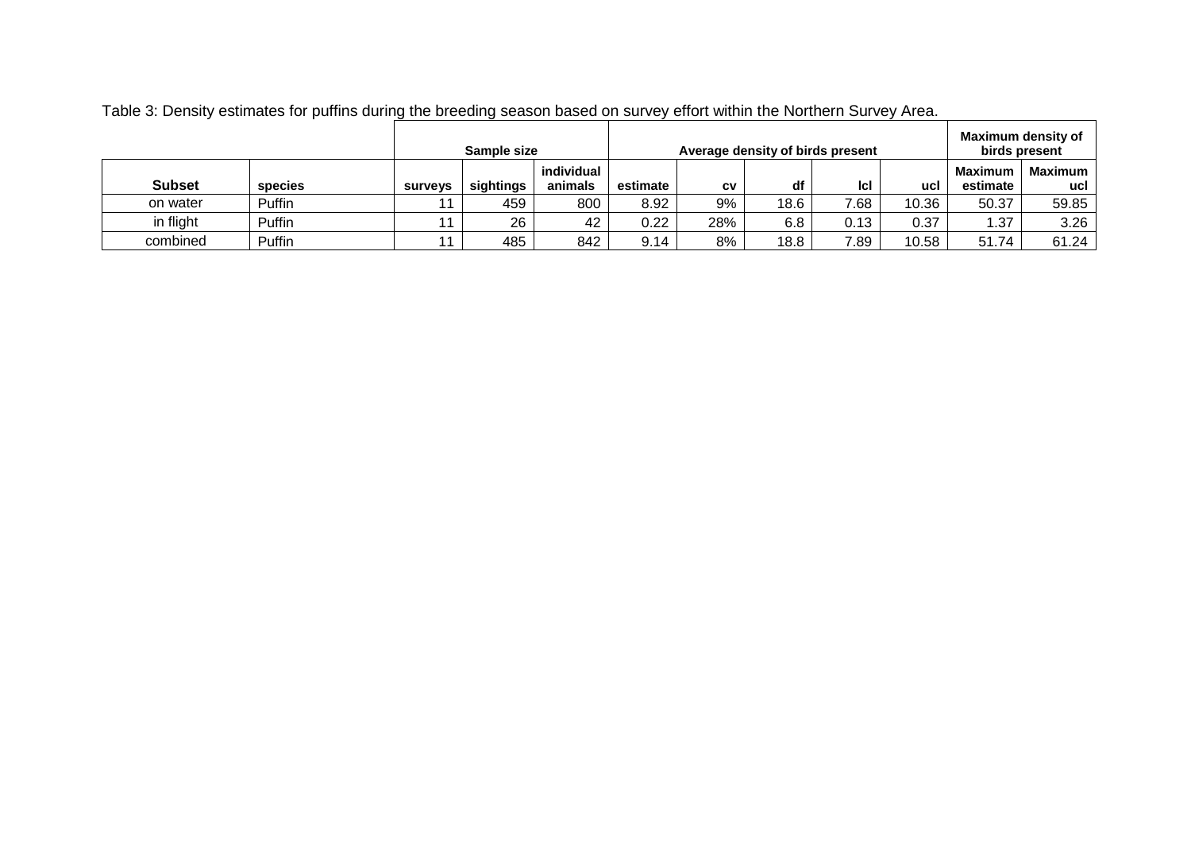|               |         |                | Sample size |            |          | Average density of birds present |      |      |       |                | Maximum density of<br>birds present |
|---------------|---------|----------------|-------------|------------|----------|----------------------------------|------|------|-------|----------------|-------------------------------------|
|               |         |                |             | individual |          |                                  |      |      |       | <b>Maximum</b> | <b>Maximum</b>                      |
| <b>Subset</b> | species | <b>Surveys</b> | sightings   | animals    | estimate | CV                               | df   | lcl  | ucl   | estimate       | ucl                                 |
| on water      | Puffin  | 11             | 459         | 800        | 8.92     | 9%                               | 18.6 | 7.68 | 10.36 | 50.37          | 59.85                               |
| in flight     | Puffin  | 11             | 26          | 42         | 0.22     | 28%                              | 6.8  | 0.13 | 0.37  | 1.37           | 3.26                                |
| combined      | Puffin  | 11             | 485         | 842        | 9.14     | 8%                               | 18.8 | 7.89 | 10.58 | 51.74          | 61.24                               |

Table 3: Density estimates for puffins during the breeding season based on survey effort within the Northern Survey Area.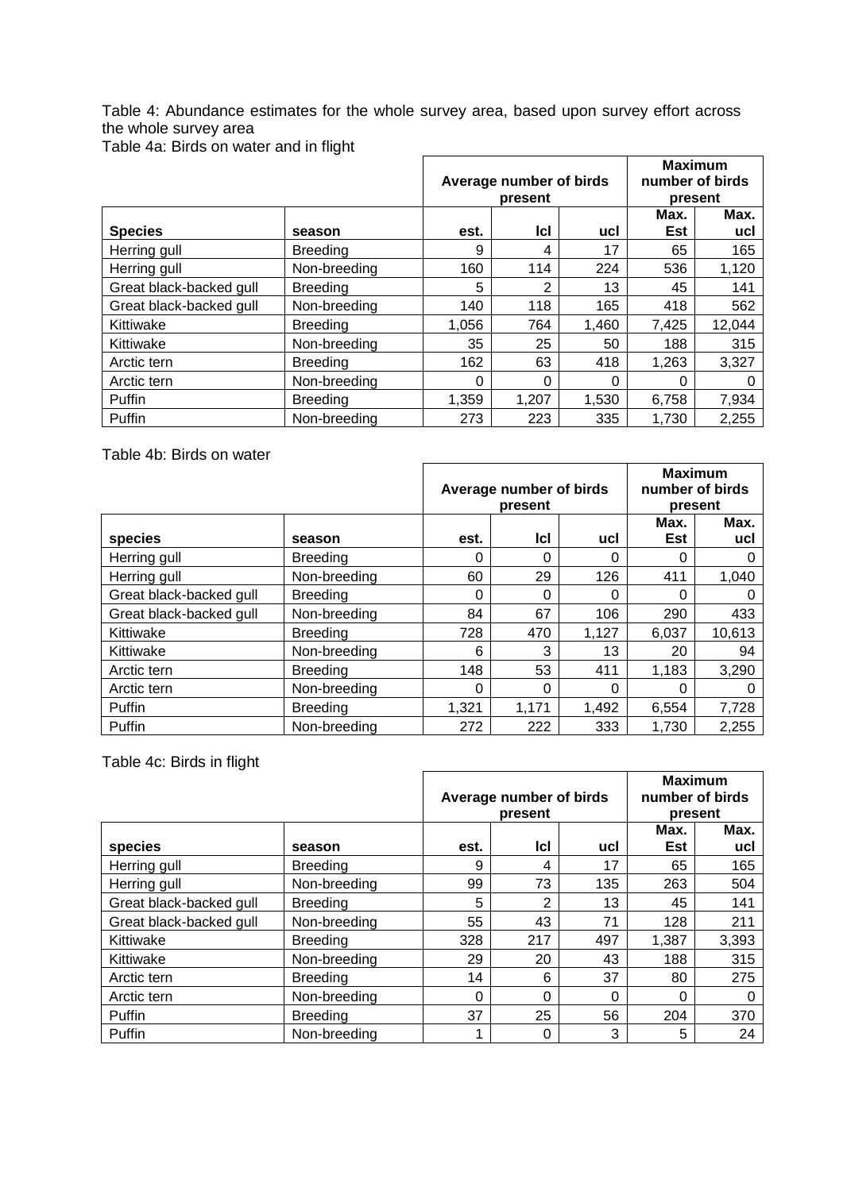Table 4: Abundance estimates for the whole survey area, based upon survey effort across the whole survey area

Table 4a: Birds on water and in flight

|                         |                 |       |                         |       | <b>Maximum</b>  |        |  |
|-------------------------|-----------------|-------|-------------------------|-------|-----------------|--------|--|
|                         |                 |       | Average number of birds |       | number of birds |        |  |
|                         |                 |       | present                 |       | present         |        |  |
|                         |                 |       |                         |       | Max.            | Max.   |  |
| <b>Species</b>          | season          | est.  | <b>Icl</b>              | ucl   | Est             | ucl    |  |
| Herring gull            | <b>Breeding</b> | 9     | 4                       | 17    | 65              | 165    |  |
| Herring gull            | Non-breeding    | 160   | 114                     | 224   | 536             | 1,120  |  |
| Great black-backed gull | <b>Breeding</b> | 5     | 2                       | 13    | 45              | 141    |  |
| Great black-backed gull | Non-breeding    | 140   | 118                     | 165   | 418             | 562    |  |
| Kittiwake               | <b>Breeding</b> | 1,056 | 764                     | 1,460 | 7,425           | 12,044 |  |
| Kittiwake               | Non-breeding    | 35    | 25                      | 50    | 188             | 315    |  |
| Arctic tern             | <b>Breeding</b> | 162   | 63                      | 418   | 1,263           | 3,327  |  |
| Arctic tern             | Non-breeding    | 0     | 0                       | 0     | 0               |        |  |
| Puffin                  | <b>Breeding</b> | 1,359 | 1,207                   | 1,530 | 6,758           | 7,934  |  |
| Puffin                  | Non-breeding    | 273   | 223                     | 335   | 1,730           | 2,255  |  |

Table 4b: Birds on water

|                         |                 |       |                         |       | <b>Maximum</b>  |        |  |
|-------------------------|-----------------|-------|-------------------------|-------|-----------------|--------|--|
|                         |                 |       | Average number of birds |       | number of birds |        |  |
|                         |                 |       | present                 |       | present         |        |  |
|                         |                 |       |                         |       | Max.            | Max.   |  |
| species                 | season          | est.  | lcl                     | ucl   | <b>Est</b>      | ucl    |  |
| Herring gull            | <b>Breeding</b> | 0     | 0                       | 0     |                 |        |  |
| Herring gull            | Non-breeding    | 60    | 29                      | 126   | 411             | 1,040  |  |
| Great black-backed gull | <b>Breeding</b> | 0     | 0                       | 0     | 0               |        |  |
| Great black-backed gull | Non-breeding    | 84    | 67                      | 106   | 290             | 433    |  |
| Kittiwake               | <b>Breeding</b> | 728   | 470                     | 1,127 | 6,037           | 10,613 |  |
| Kittiwake               | Non-breeding    | 6     | 3                       | 13    | 20              | 94     |  |
| Arctic tern             | <b>Breeding</b> | 148   | 53                      | 411   | 1,183           | 3,290  |  |
| Arctic tern             | Non-breeding    | 0     | 0                       | 0     |                 |        |  |
| Puffin                  | <b>Breeding</b> | 1,321 | 1,171                   | 1,492 | 6,554           | 7,728  |  |
| Puffin                  | Non-breeding    | 272   | 222                     | 333   | 1,730           | 2,255  |  |

Table 4c: Birds in flight

|                         |                 |      | Average number of birds<br>present |          | <b>Maximum</b><br>number of birds<br>present |             |  |
|-------------------------|-----------------|------|------------------------------------|----------|----------------------------------------------|-------------|--|
| species                 | season          | est. | IcI                                | ucl      | Max.<br>Est                                  | Max.<br>ucl |  |
| Herring gull            | <b>Breeding</b> | 9    | 4                                  | 17       | 65                                           | 165         |  |
| Herring gull            | Non-breeding    | 99   | 73                                 | 135      | 263                                          | 504         |  |
| Great black-backed gull | <b>Breeding</b> | 5    | 2                                  | 13       | 45                                           | 141         |  |
| Great black-backed gull | Non-breeding    | 55   | 43                                 | 71       | 128                                          | 211         |  |
| Kittiwake               | <b>Breeding</b> | 328  | 217                                | 497      | 1,387                                        | 3,393       |  |
| Kittiwake               | Non-breeding    | 29   | 20                                 | 43       | 188                                          | 315         |  |
| Arctic tern             | <b>Breeding</b> | 14   | 6                                  | 37       | 80                                           | 275         |  |
| Arctic tern             | Non-breeding    | 0    | 0                                  | $\Omega$ | 0                                            | 0           |  |
| <b>Puffin</b>           | <b>Breeding</b> | 37   | 25                                 | 56       | 204                                          | 370         |  |
| Puffin                  | Non-breeding    |      | 0                                  | 3        | 5                                            | 24          |  |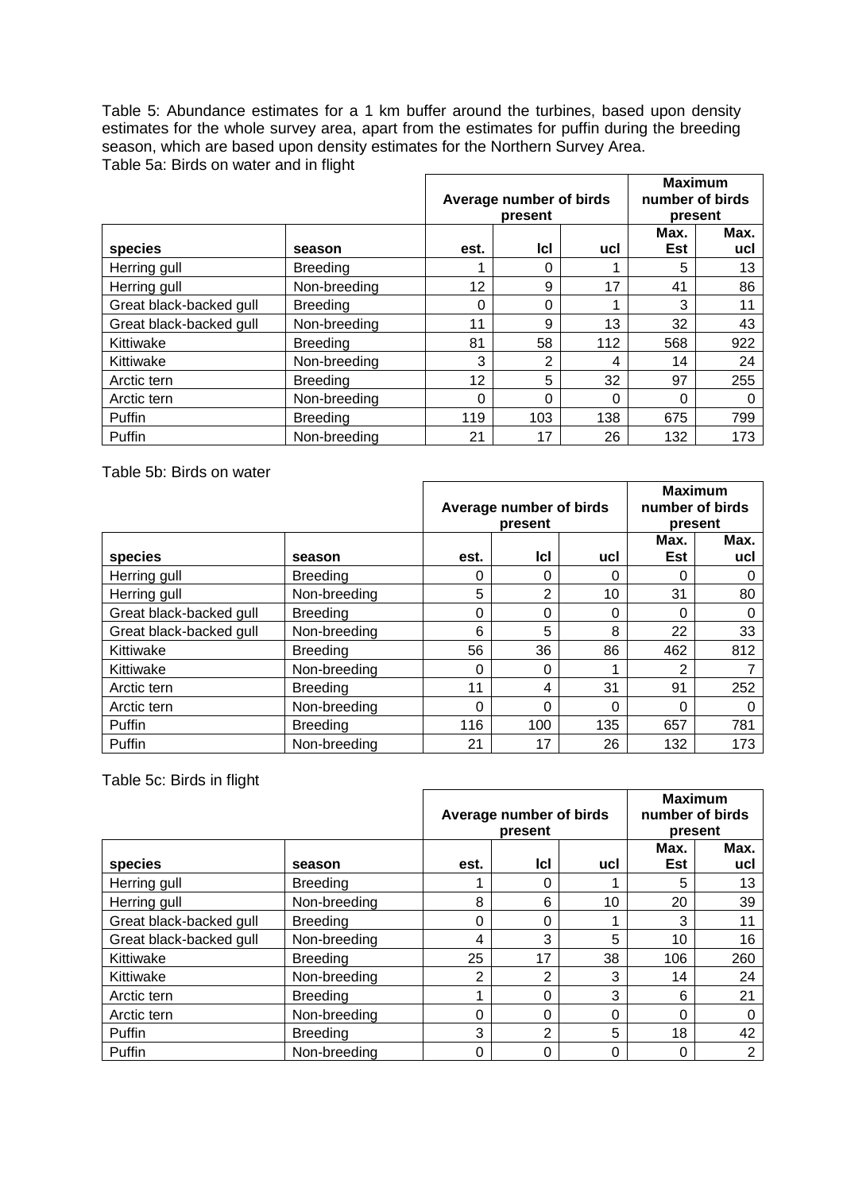Table 5: Abundance estimates for a 1 km buffer around the turbines, based upon density estimates for the whole survey area, apart from the estimates for puffin during the breeding season, which are based upon density estimates for the Northern Survey Area. Table 5a: Birds on water and in flight

|                         |                 |          | Average number of birds<br>present |          | <b>Maximum</b><br>number of birds | present     |
|-------------------------|-----------------|----------|------------------------------------|----------|-----------------------------------|-------------|
| species                 |                 | est.     | <b>Icl</b>                         | ucl      | Max.<br><b>Est</b>                | Max.<br>ucl |
|                         | season          |          |                                    |          |                                   |             |
| Herring gull            | <b>Breeding</b> |          | 0                                  | 1        | 5                                 | 13          |
| Herring gull            | Non-breeding    | 12       | 9                                  | 17       | 41                                | 86          |
| Great black-backed gull | <b>Breeding</b> | $\Omega$ | $\Omega$                           | 1        | 3                                 | 11          |
| Great black-backed gull | Non-breeding    | 11       | 9                                  | 13       | 32                                | 43          |
| Kittiwake               | <b>Breeding</b> | 81       | 58                                 | 112      | 568                               | 922         |
| Kittiwake               | Non-breeding    | 3        | 2                                  | 4        | 14                                | 24          |
| Arctic tern             | <b>Breeding</b> | 12       | 5                                  | 32       | 97                                | 255         |
| Arctic tern             | Non-breeding    | $\Omega$ | 0                                  | $\Omega$ | 0                                 | 0           |
| Puffin                  | <b>Breeding</b> | 119      | 103                                | 138      | 675                               | 799         |
| Puffin                  | Non-breeding    | 21       | 17                                 | 26       | 132                               | 173         |

Table 5b: Birds on water

|                         |                 |      | Average number of birds<br>present |          | <b>Maximum</b><br>number of birds<br>present |             |  |
|-------------------------|-----------------|------|------------------------------------|----------|----------------------------------------------|-------------|--|
| species                 | season          | est. | <b>Icl</b>                         | ucl      | Max.<br>Est                                  | Max.<br>ucl |  |
| Herring gull            | <b>Breeding</b> | 0    | 0                                  | 0        | 0                                            |             |  |
| Herring gull            | Non-breeding    | 5    | 2                                  | 10       | 31                                           | 80          |  |
| Great black-backed gull | <b>Breeding</b> | 0    | 0                                  | $\Omega$ | 0                                            | 0           |  |
| Great black-backed gull | Non-breeding    | 6    | 5                                  | 8        | 22                                           | 33          |  |
| Kittiwake               | <b>Breeding</b> | 56   | 36                                 | 86       | 462                                          | 812         |  |
| Kittiwake               | Non-breeding    | 0    | 0                                  |          | っ                                            |             |  |
| Arctic tern             | <b>Breeding</b> | 11   | 4                                  | 31       | 91                                           | 252         |  |
| Arctic tern             | Non-breeding    | 0    | 0                                  | $\Omega$ | 0                                            | 0           |  |
| Puffin                  | <b>Breeding</b> | 116  | 100                                | 135      | 657                                          | 781         |  |
| Puffin                  | Non-breeding    | 21   | 17                                 | 26       | 132                                          | 173         |  |

Table 5c: Birds in flight

|                         |                 |                | Average number of birds<br>present |          |             | <b>Maximum</b><br>number of birds<br>present |
|-------------------------|-----------------|----------------|------------------------------------|----------|-------------|----------------------------------------------|
| species                 | season          | est.           | lcl                                | ucl      | Max.<br>Est | Max.<br>ucl                                  |
| Herring gull            | <b>Breeding</b> |                | 0                                  |          | 5           | 13                                           |
| Herring gull            | Non-breeding    | 8              | 6                                  | 10       | 20          | 39                                           |
| Great black-backed gull | <b>Breeding</b> | 0              | $\Omega$                           |          | 3           | 11                                           |
| Great black-backed gull | Non-breeding    | 4              | 3                                  | 5        | 10          | 16                                           |
| Kittiwake               | <b>Breeding</b> | 25             | 17                                 | 38       | 106         | 260                                          |
| Kittiwake               | Non-breeding    | $\overline{2}$ | $\overline{2}$                     | 3        | 14          | 24                                           |
| Arctic tern             | <b>Breeding</b> |                | 0                                  | 3        | 6           | 21                                           |
| Arctic tern             | Non-breeding    | 0              | $\Omega$                           | $\Omega$ | 0           | 0                                            |
| Puffin                  | <b>Breeding</b> | 3              | $\overline{2}$                     | 5        | 18          | 42                                           |
| Puffin                  | Non-breeding    | 0              | 0                                  | $\Omega$ | 0           | $\overline{2}$                               |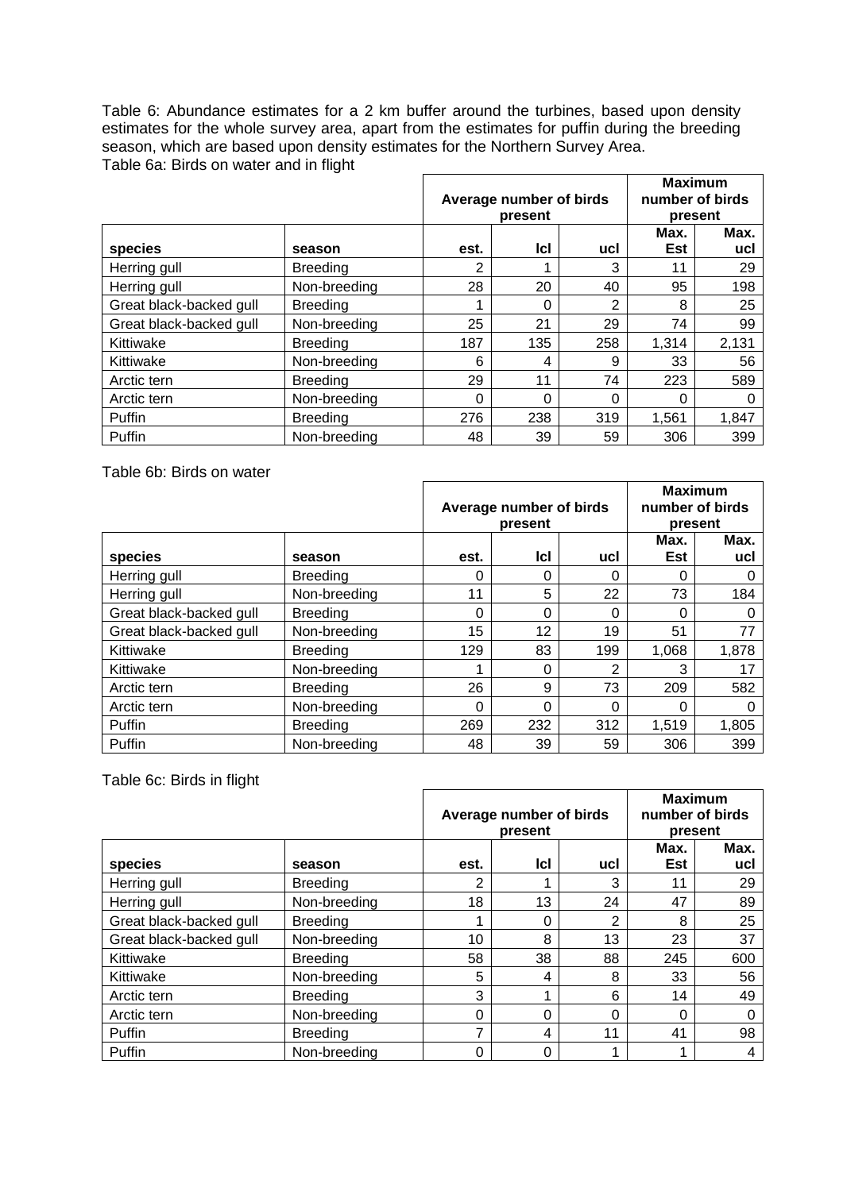Table 6: Abundance estimates for a 2 km buffer around the turbines, based upon density estimates for the whole survey area, apart from the estimates for puffin during the breeding season, which are based upon density estimates for the Northern Survey Area. Table 6a: Birds on water and in flight

|                         |                 |      | Average number of birds<br>present |          | <b>Maximum</b><br>number of birds<br>present |             |  |  |
|-------------------------|-----------------|------|------------------------------------|----------|----------------------------------------------|-------------|--|--|
| species                 | season          | est. | lcl                                | ucl      | Max.<br>Est                                  | Max.<br>ucl |  |  |
| Herring gull            | <b>Breeding</b> | 2    |                                    | 3        | 11                                           | 29          |  |  |
| Herring gull            | Non-breeding    | 28   | 20                                 | 40       | 95                                           | 198         |  |  |
| Great black-backed gull | <b>Breeding</b> |      | 0                                  | 2        | 8                                            | 25          |  |  |
| Great black-backed gull | Non-breeding    | 25   | 21                                 | 29       | 74                                           | 99          |  |  |
| Kittiwake               | <b>Breeding</b> | 187  | 135                                | 258      | 1,314                                        | 2,131       |  |  |
| Kittiwake               | Non-breeding    | 6    | 4                                  | 9        | 33                                           | 56          |  |  |
| Arctic tern             | <b>Breeding</b> | 29   | 11                                 | 74       | 223                                          | 589         |  |  |
| Arctic tern             | Non-breeding    | 0    | 0                                  | $\Omega$ | 0                                            |             |  |  |
| Puffin                  | <b>Breeding</b> | 276  | 238                                | 319      | 1,561                                        | 1,847       |  |  |
| Puffin                  | Non-breeding    | 48   | 39                                 | 59       | 306                                          | 399         |  |  |

Table 6b: Birds on water

|                         |                 |      | Average number of birds<br>present |          | <b>Maximum</b><br>number of birds<br>present |             |  |  |
|-------------------------|-----------------|------|------------------------------------|----------|----------------------------------------------|-------------|--|--|
| species                 | season          | est. | <b>Icl</b>                         | ucl      | Max.<br>Est                                  | Max.<br>ucl |  |  |
| Herring gull            | <b>Breeding</b> | 0    | 0                                  | $\Omega$ | 0                                            |             |  |  |
| Herring gull            | Non-breeding    | 11   | 5                                  | 22       | 73                                           | 184         |  |  |
| Great black-backed gull | <b>Breeding</b> | 0    | $\Omega$                           | $\Omega$ | 0                                            | 0           |  |  |
| Great black-backed gull | Non-breeding    | 15   | 12                                 | 19       | 51                                           | 77          |  |  |
| Kittiwake               | <b>Breeding</b> | 129  | 83                                 | 199      | 1,068                                        | 1,878       |  |  |
| Kittiwake               | Non-breeding    |      | 0                                  | 2        | 3                                            | 17          |  |  |
| Arctic tern             | <b>Breeding</b> | 26   | 9                                  | 73       | 209                                          | 582         |  |  |
| Arctic tern             | Non-breeding    | 0    | 0                                  | $\Omega$ | 0                                            |             |  |  |
| Puffin                  | <b>Breeding</b> | 269  | 232                                | 312      | 1,519                                        | 1,805       |  |  |
| Puffin                  | Non-breeding    | 48   | 39                                 | 59       | 306                                          | 399         |  |  |

Table 6c: Birds in flight

|                         |                 |      | Average number of birds<br>present |                | <b>Maximum</b><br>number of birds<br>present |             |  |  |
|-------------------------|-----------------|------|------------------------------------|----------------|----------------------------------------------|-------------|--|--|
| species                 | season          | est. | lcl                                | ucl            | Max.<br>Est                                  | Max.<br>ucl |  |  |
| Herring gull            | <b>Breeding</b> | 2    |                                    | 3              | 11                                           | 29          |  |  |
| Herring gull            | Non-breeding    | 18   | 13                                 | 24             | 47                                           | 89          |  |  |
| Great black-backed gull | <b>Breeding</b> |      | 0                                  | $\overline{2}$ | 8                                            | 25          |  |  |
| Great black-backed gull | Non-breeding    | 10   | 8                                  | 13             | 23                                           | 37          |  |  |
| Kittiwake               | <b>Breeding</b> | 58   | 38                                 | 88             | 245                                          | 600         |  |  |
| Kittiwake               | Non-breeding    | 5    | 4                                  | 8              | 33                                           | 56          |  |  |
| Arctic tern             | <b>Breeding</b> | 3    | 4                                  | 6              | 14                                           | 49          |  |  |
| Arctic tern             | Non-breeding    | 0    | $\Omega$                           | $\Omega$       | $\Omega$                                     | 0           |  |  |
| Puffin                  | <b>Breeding</b> | 7    | 4                                  | 11             | 41                                           | 98          |  |  |
| Puffin                  | Non-breeding    | 0    | 0                                  |                |                                              | 4           |  |  |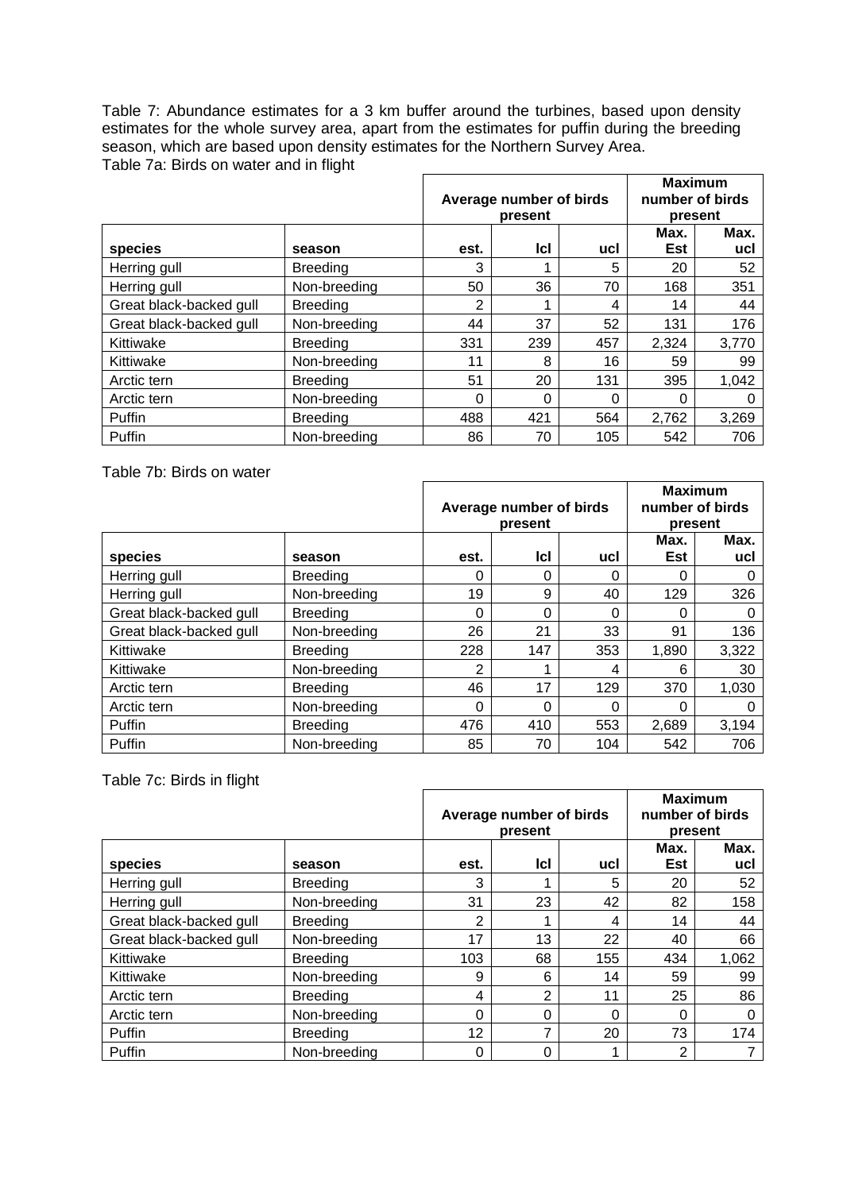Table 7: Abundance estimates for a 3 km buffer around the turbines, based upon density estimates for the whole survey area, apart from the estimates for puffin during the breeding season, which are based upon density estimates for the Northern Survey Area. Table 7a: Birds on water and in flight

|                         |                 |      | Average number of birds<br>present |          | <b>Maximum</b><br>number of birds<br>present |             |
|-------------------------|-----------------|------|------------------------------------|----------|----------------------------------------------|-------------|
| species                 | season          | est. | lcl                                | ucl      | Max.<br>Est                                  | Max.<br>ucl |
| Herring gull            | <b>Breeding</b> | 3    |                                    | 5        | 20                                           | 52          |
| Herring gull            | Non-breeding    | 50   | 36                                 | 70       | 168                                          | 351         |
| Great black-backed gull | <b>Breeding</b> | 2    |                                    | 4        | 14                                           | 44          |
| Great black-backed gull | Non-breeding    | 44   | 37                                 | 52       | 131                                          | 176         |
| Kittiwake               | <b>Breeding</b> | 331  | 239                                | 457      | 2,324                                        | 3,770       |
| Kittiwake               | Non-breeding    | 11   | 8                                  | 16       | 59                                           | 99          |
| Arctic tern             | <b>Breeding</b> | 51   | 20                                 | 131      | 395                                          | 1,042       |
| Arctic tern             | Non-breeding    | 0    | 0                                  | $\Omega$ | 0                                            |             |
| Puffin                  | <b>Breeding</b> | 488  | 421                                | 564      | 2,762                                        | 3,269       |
| Puffin                  | Non-breeding    | 86   | 70                                 | 105      | 542                                          | 706         |

Table 7b: Birds on water

|                         |                 |      | Average number of birds<br>present |          | <b>Maximum</b><br>number of birds<br>present |             |  |  |
|-------------------------|-----------------|------|------------------------------------|----------|----------------------------------------------|-------------|--|--|
| species                 | season          | est. | lcl                                | ucl      | Max.<br>Est                                  | Max.<br>ucl |  |  |
| Herring gull            | <b>Breeding</b> | 0    | 0                                  | 0        | 0                                            |             |  |  |
| Herring gull            | Non-breeding    | 19   | 9                                  | 40       | 129                                          | 326         |  |  |
| Great black-backed gull | <b>Breeding</b> | 0    | 0                                  | $\Omega$ | 0                                            | O           |  |  |
| Great black-backed gull | Non-breeding    | 26   | 21                                 | 33       | 91                                           | 136         |  |  |
| Kittiwake               | <b>Breeding</b> | 228  | 147                                | 353      | 1,890                                        | 3,322       |  |  |
| Kittiwake               | Non-breeding    | 2    |                                    | 4        | 6                                            | 30          |  |  |
| Arctic tern             | <b>Breeding</b> | 46   | 17                                 | 129      | 370                                          | 1,030       |  |  |
| Arctic tern             | Non-breeding    | 0    | 0                                  | $\Omega$ | 0                                            |             |  |  |
| Puffin                  | 476             | 410  | 553                                | 2,689    | 3,194                                        |             |  |  |
| Puffin                  | Non-breeding    | 85   | 70                                 | 104      | 542                                          | 706         |  |  |

Table 7c: Birds in flight

|                         |                 |      | Average number of birds<br>present |          | <b>Maximum</b><br>number of birds<br>present |             |  |  |
|-------------------------|-----------------|------|------------------------------------|----------|----------------------------------------------|-------------|--|--|
| species                 | season          | est. | lcl                                | ucl      | Max.<br>Est                                  | Max.<br>ucl |  |  |
| Herring gull            | <b>Breeding</b> | 3    |                                    | 5        | 20                                           | 52          |  |  |
| Herring gull            | Non-breeding    | 31   | 23                                 | 42       | 82                                           | 158         |  |  |
| Great black-backed gull | <b>Breeding</b> | 2    |                                    | 4        | 14                                           | 44          |  |  |
| Great black-backed gull | Non-breeding    | 17   | 13                                 | 22       | 40                                           | 66          |  |  |
| Kittiwake               | <b>Breeding</b> | 103  | 68                                 | 155      | 434                                          | 1,062       |  |  |
| Kittiwake               | Non-breeding    | 9    | 6                                  | 14       | 59                                           | 99          |  |  |
| Arctic tern             | <b>Breeding</b> | 4    | $\overline{2}$                     | 11       | 25                                           | 86          |  |  |
| Arctic tern             | Non-breeding    | 0    | $\Omega$                           | $\Omega$ | $\Omega$                                     | 0           |  |  |
| Puffin                  | <b>Breeding</b> | 12   | 7                                  | 20       | 73                                           | 174         |  |  |
| Puffin                  | Non-breeding    | 0    | 0                                  |          | 2                                            |             |  |  |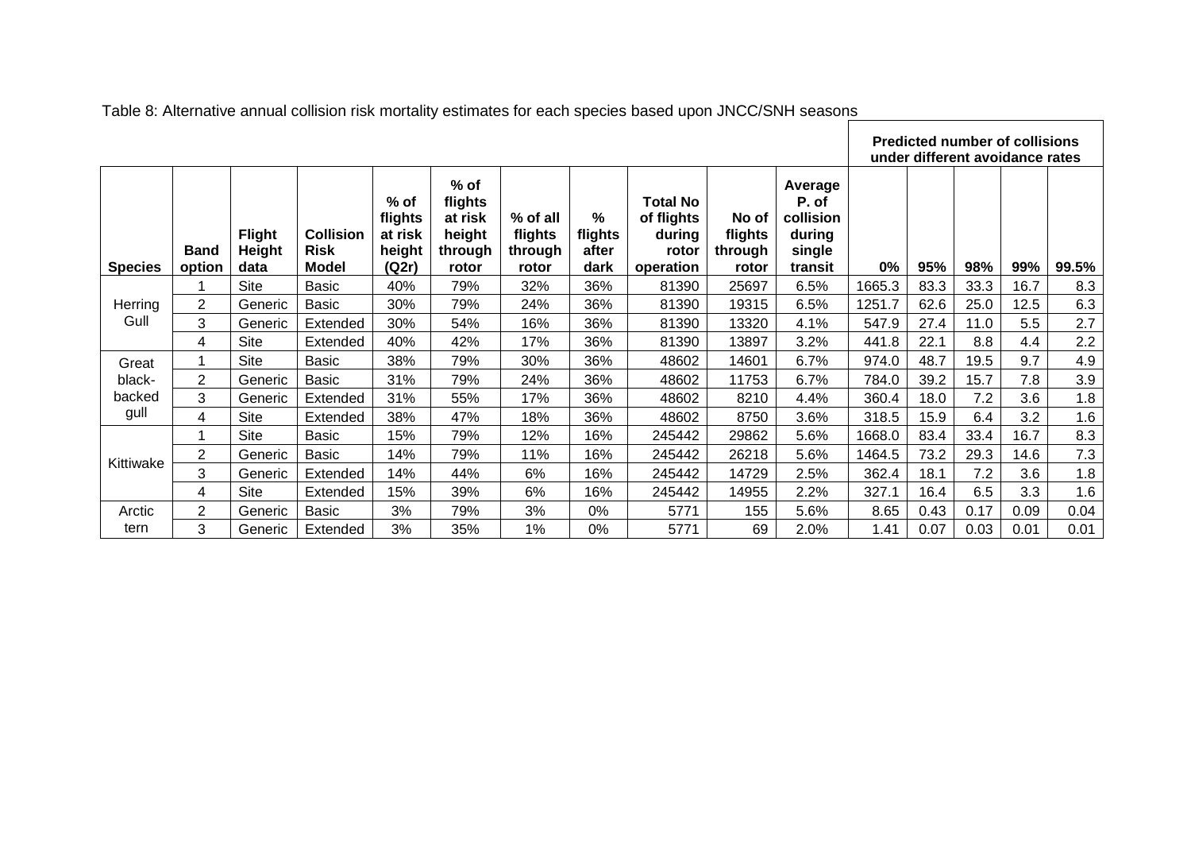| Table 8: Alternative annual collision risk mortality estimates for each species based upon JNCC/SNH seasons<br><b>Predicted number of collisions</b><br>under different avoidance rates |                       |                                        |                                          |                                               |                                                            |                                         |                               |                                                               |                                      |                                                              |        |      |      |      |       |
|-----------------------------------------------------------------------------------------------------------------------------------------------------------------------------------------|-----------------------|----------------------------------------|------------------------------------------|-----------------------------------------------|------------------------------------------------------------|-----------------------------------------|-------------------------------|---------------------------------------------------------------|--------------------------------------|--------------------------------------------------------------|--------|------|------|------|-------|
| <b>Species</b>                                                                                                                                                                          | <b>Band</b><br>option | <b>Flight</b><br><b>Height</b><br>data | <b>Collision</b><br><b>Risk</b><br>Model | % of<br>flights<br>at risk<br>height<br>(Q2r) | $%$ of<br>flights<br>at risk<br>height<br>through<br>rotor | % of all<br>flights<br>through<br>rotor | %<br>flights<br>after<br>dark | <b>Total No</b><br>of flights<br>during<br>rotor<br>operation | No of<br>flights<br>through<br>rotor | Average<br>P. of<br>collision<br>during<br>single<br>transit | 0%     | 95%  | 98%  | 99%  | 99.5% |
|                                                                                                                                                                                         |                       | <b>Site</b>                            | <b>Basic</b>                             | 40%                                           | 79%                                                        | 32%                                     | 36%                           | 81390                                                         | 25697                                | 6.5%                                                         | 1665.3 | 83.3 | 33.3 | 16.7 | 8.3   |
| Herring                                                                                                                                                                                 | 2                     | Generic                                | <b>Basic</b>                             | 30%                                           | 79%                                                        | 24%                                     | 36%                           | 81390                                                         | 19315                                | 6.5%                                                         | 1251.7 | 62.6 | 25.0 | 12.5 | 6.3   |
| Gull                                                                                                                                                                                    | 3                     | Generic                                | Extended                                 | 30%                                           | 54%                                                        | 16%                                     | 36%                           | 81390                                                         | 13320                                | 4.1%                                                         | 547.9  | 27.4 | 11.0 | 5.5  | 2.7   |
|                                                                                                                                                                                         | 4                     | Site                                   | Extended                                 | 40%                                           | 42%                                                        | 17%                                     | 36%                           | 81390                                                         | 13897                                | 3.2%                                                         | 441.8  | 22.1 | 8.8  | 4.4  | 2.2   |
| Great                                                                                                                                                                                   |                       | Site                                   | Basic                                    | 38%                                           | 79%                                                        | 30%                                     | 36%                           | 48602                                                         | 14601                                | 6.7%                                                         | 974.0  | 48.7 | 19.5 | 9.7  | 4.9   |
| black-                                                                                                                                                                                  | $\overline{2}$        | Generic                                | <b>Basic</b>                             | 31%                                           | 79%                                                        | 24%                                     | 36%                           | 48602                                                         | 11753                                | 6.7%                                                         | 784.0  | 39.2 | 15.7 | 7.8  | 3.9   |
| backed                                                                                                                                                                                  | 3                     | Generic                                | Extended                                 | 31%                                           | 55%                                                        | 17%                                     | 36%                           | 48602                                                         | 8210                                 | 4.4%                                                         | 360.4  | 18.0 | 7.2  | 3.6  | 1.8   |
| gull                                                                                                                                                                                    | 4                     | Site                                   | Extended                                 | 38%                                           | 47%                                                        | 18%                                     | 36%                           | 48602                                                         | 8750                                 | 3.6%                                                         | 318.5  | 15.9 | 6.4  | 3.2  | 1.6   |
|                                                                                                                                                                                         |                       | <b>Site</b>                            | Basic                                    | 15%                                           | 79%                                                        | 12%                                     | 16%                           | 245442                                                        | 29862                                | 5.6%                                                         | 1668.0 | 83.4 | 33.4 | 16.7 | 8.3   |
| Kittiwake                                                                                                                                                                               | 2                     | Generic                                | <b>Basic</b>                             | 14%                                           | 79%                                                        | 11%                                     | 16%                           | 245442                                                        | 26218                                | 5.6%                                                         | 1464.5 | 73.2 | 29.3 | 14.6 | 7.3   |
|                                                                                                                                                                                         | 3                     | Generic                                | Extended                                 | 14%                                           | 44%                                                        | 6%                                      | 16%                           | 245442                                                        | 14729                                | 2.5%                                                         | 362.4  | 18.1 | 7.2  | 3.6  | 1.8   |
|                                                                                                                                                                                         | 4                     | <b>Site</b>                            | Extended                                 | 15%                                           | 39%                                                        | 6%                                      | 16%                           | 245442                                                        | 14955                                | 2.2%                                                         | 327.1  | 16.4 | 6.5  | 3.3  | 1.6   |
| Arctic                                                                                                                                                                                  | 2                     | Generic                                | Basic                                    | 3%                                            | 79%                                                        | 3%                                      | 0%                            | 5771                                                          | 155                                  | 5.6%                                                         | 8.65   | 0.43 | 0.17 | 0.09 | 0.04  |
| tern                                                                                                                                                                                    | 3                     | Generic                                | Extended                                 | 3%                                            | 35%                                                        | 1%                                      | 0%                            | 5771                                                          | 69                                   | 2.0%                                                         | 1.41   | 0.07 | 0.03 | 0.01 | 0.01  |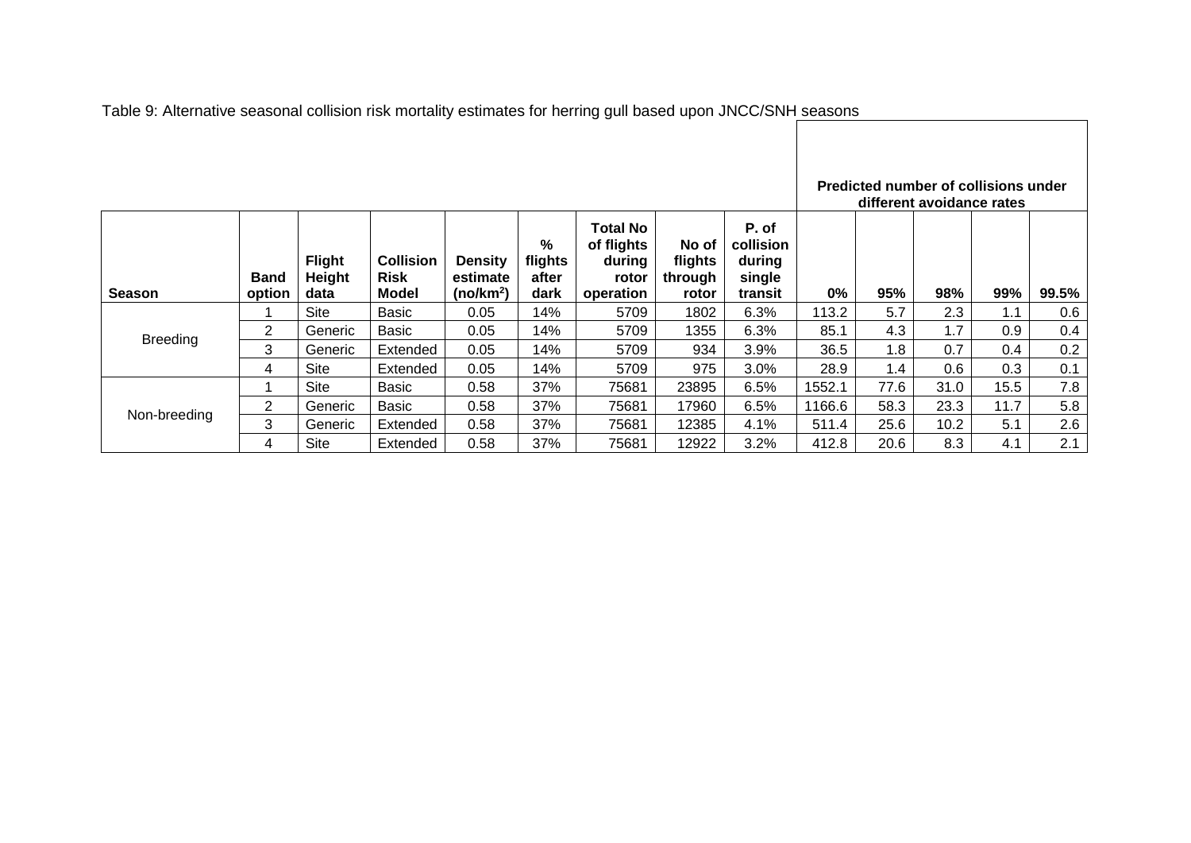|                 |                       |                                 |                                                 |                                                     |                                           |                                                               |                                      |                                                   |        | Predicted number of collisions under<br>different avoidance rates |      |      |       |
|-----------------|-----------------------|---------------------------------|-------------------------------------------------|-----------------------------------------------------|-------------------------------------------|---------------------------------------------------------------|--------------------------------------|---------------------------------------------------|--------|-------------------------------------------------------------------|------|------|-------|
| <b>Season</b>   | <b>Band</b><br>option | <b>Flight</b><br>Height<br>data | <b>Collision</b><br><b>Risk</b><br><b>Model</b> | <b>Density</b><br>estimate<br>(no/km <sup>2</sup> ) | $\frac{9}{6}$<br>flights<br>after<br>dark | <b>Total No</b><br>of flights<br>during<br>rotor<br>operation | No of<br>flights<br>through<br>rotor | P. of<br>collision<br>during<br>single<br>transit | $0\%$  | 95%                                                               | 98%  | 99%  | 99.5% |
|                 |                       | Site                            | Basic                                           | 0.05                                                | 14%                                       | 5709                                                          | 1802                                 | 6.3%                                              | 113.2  | 5.7                                                               | 2.3  | 1.1  | 0.6   |
| <b>Breeding</b> | $\overline{2}$        | Generic                         | Basic                                           | 0.05                                                | 14%                                       | 5709                                                          | 1355                                 | 6.3%                                              | 85.1   | 4.3                                                               | 1.7  | 0.9  | 0.4   |
|                 | 3                     | Generic                         | Extended                                        | 0.05                                                | 14%                                       | 5709                                                          | 934                                  | 3.9%                                              | 36.5   | 1.8                                                               | 0.7  | 0.4  | 0.2   |
|                 | 4                     | Site                            | Extended                                        | 0.05                                                | 14%                                       | 5709                                                          | 975                                  | 3.0%                                              | 28.9   | 1.4                                                               | 0.6  | 0.3  | 0.1   |
|                 |                       | Site                            | Basic                                           | 0.58                                                | 37%                                       | 75681                                                         | 23895                                | 6.5%                                              | 1552.1 | 77.6                                                              | 31.0 | 15.5 | 7.8   |
|                 | $\overline{2}$        | Generic                         | Basic                                           | 0.58                                                | 37%                                       | 75681                                                         | 17960                                | 6.5%                                              | 1166.6 | 58.3                                                              | 23.3 | 11.7 | 5.8   |
| Non-breeding    | 3                     | Generic                         | Extended                                        | 0.58                                                | 37%                                       | 75681                                                         | 12385                                | 4.1%                                              | 511.4  | 25.6                                                              | 10.2 | 5.1  | 2.6   |
|                 | 4                     | Site                            | Extended                                        | 0.58                                                | 37%                                       | 75681                                                         | 12922                                | 3.2%                                              | 412.8  | 20.6                                                              | 8.3  | 4.1  | 2.1   |

Table 9: Alternative seasonal collision risk mortality estimates for herring gull based upon JNCC/SNH seasons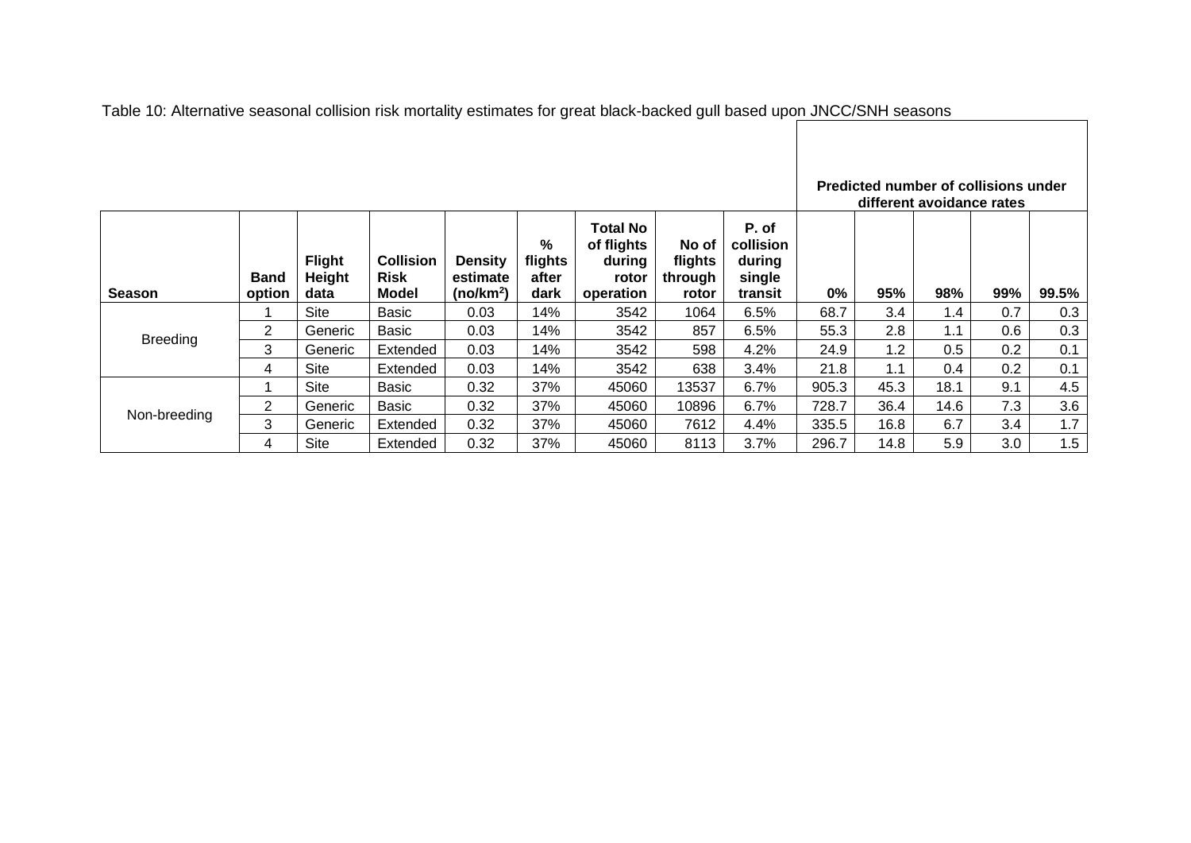|                 |                       |                                 |                                          |                                                     |                               |                                                               |                                      |                                                   |       | Predicted number of collisions under<br>different avoidance rates |      |     |       |
|-----------------|-----------------------|---------------------------------|------------------------------------------|-----------------------------------------------------|-------------------------------|---------------------------------------------------------------|--------------------------------------|---------------------------------------------------|-------|-------------------------------------------------------------------|------|-----|-------|
| <b>Season</b>   | <b>Band</b><br>option | <b>Flight</b><br>Height<br>data | <b>Collision</b><br><b>Risk</b><br>Model | <b>Density</b><br>estimate<br>(no/km <sup>2</sup> ) | %<br>flights<br>after<br>dark | <b>Total No</b><br>of flights<br>during<br>rotor<br>operation | No of<br>flights<br>through<br>rotor | P. of<br>collision<br>during<br>single<br>transit | $0\%$ | 95%                                                               | 98%  | 99% | 99.5% |
|                 |                       | <b>Site</b>                     | Basic                                    | 0.03                                                | 14%                           | 3542                                                          | 1064                                 | 6.5%                                              | 68.7  | 3.4                                                               | 1.4  | 0.7 | 0.3   |
| <b>Breeding</b> | 2                     | Generic                         | Basic                                    | 0.03                                                | 14%                           | 3542                                                          | 857                                  | 6.5%                                              | 55.3  | 2.8                                                               | 1.1  | 0.6 | 0.3   |
|                 | 3                     | Generic                         | Extended                                 | 0.03                                                | 14%                           | 3542                                                          | 598                                  | 4.2%                                              | 24.9  | 1.2                                                               | 0.5  | 0.2 | 0.1   |
|                 | 4                     | Site                            | Extended                                 | 0.03                                                | 14%                           | 3542                                                          | 638                                  | 3.4%                                              | 21.8  | 1.1                                                               | 0.4  | 0.2 | 0.1   |
|                 |                       | Site                            | Basic                                    | 0.32                                                | 37%                           | 45060                                                         | 13537                                | 6.7%                                              | 905.3 | 45.3                                                              | 18.1 | 9.1 | 4.5   |
|                 | $\overline{2}$        | Generic                         | <b>Basic</b>                             | 0.32                                                | 37%                           | 45060                                                         | 10896                                | 6.7%                                              | 728.7 | 36.4                                                              | 14.6 | 7.3 | 3.6   |
| Non-breeding    | 3                     | Generic                         | Extended                                 | 0.32                                                | 37%                           | 45060                                                         | 7612                                 | 4.4%                                              | 335.5 | 16.8                                                              | 6.7  | 3.4 | 1.7   |
|                 | 4                     | Site                            | Extended                                 | 0.32                                                | 37%                           | 45060                                                         | 8113                                 | 3.7%                                              | 296.7 | 14.8                                                              | 5.9  | 3.0 | 1.5   |

Table 10: Alternative seasonal collision risk mortality estimates for great black-backed gull based upon JNCC/SNH seasons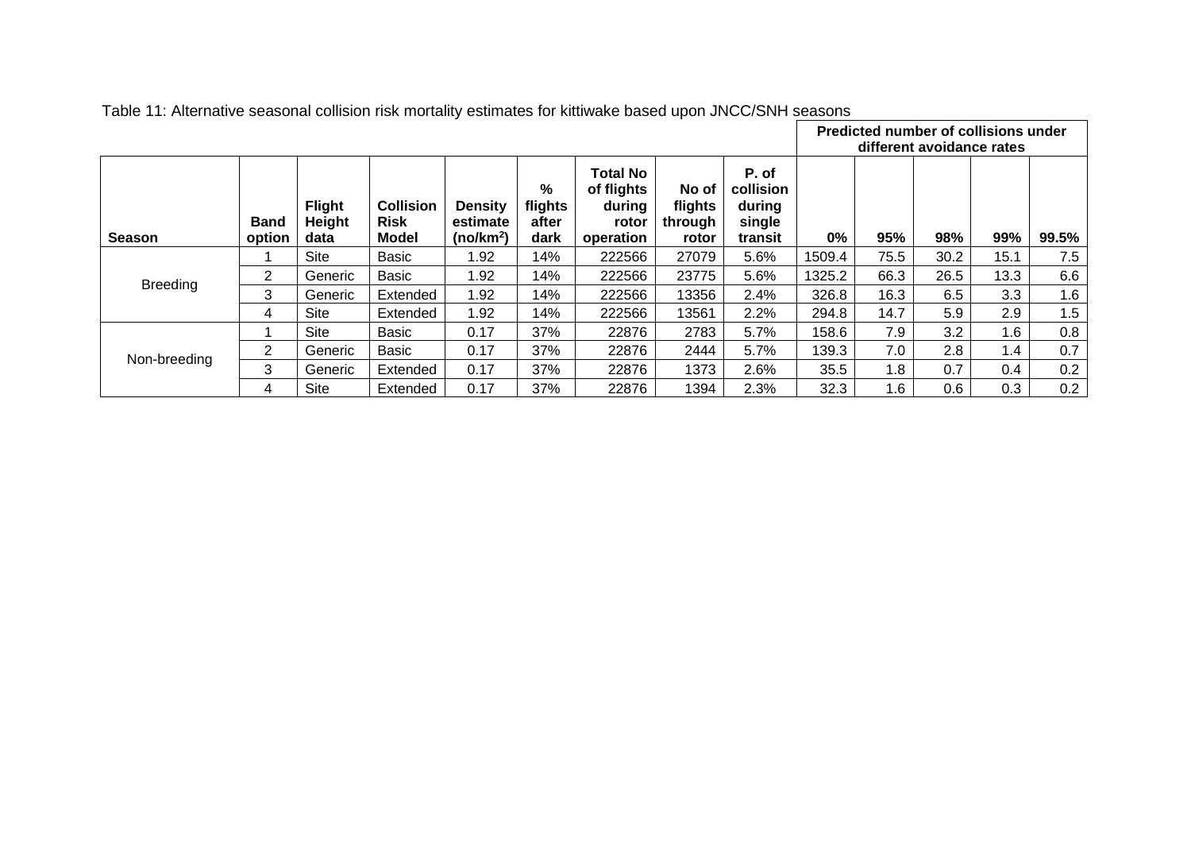|                 |                       |                                 |                                          |                                                     |                                  |                                                               |                                      |                                                   | Predicted number of collisions under<br>different avoidance rates |      |      |               |       |  |  |
|-----------------|-----------------------|---------------------------------|------------------------------------------|-----------------------------------------------------|----------------------------------|---------------------------------------------------------------|--------------------------------------|---------------------------------------------------|-------------------------------------------------------------------|------|------|---------------|-------|--|--|
| <b>Season</b>   | <b>Band</b><br>option | <b>Flight</b><br>Height<br>data | <b>Collision</b><br><b>Risk</b><br>Model | <b>Density</b><br>estimate<br>(no/km <sup>2</sup> ) | $\%$<br>flights<br>after<br>dark | <b>Total No</b><br>of flights<br>during<br>rotor<br>operation | No of<br>flights<br>through<br>rotor | P. of<br>collision<br>during<br>single<br>transit | $0\%$                                                             | 95%  | 98%  | 99%           | 99.5% |  |  |
|                 |                       | Site                            | Basic                                    | 1.92                                                | 14%                              | 222566                                                        | 27079                                | 5.6%                                              | 1509.4                                                            | 75.5 | 30.2 | 15.1          | 7.5   |  |  |
| <b>Breeding</b> | $\overline{2}$        | Generic                         | Basic                                    | 1.92                                                | 14%                              | 222566                                                        | 23775                                | 5.6%                                              | 1325.2                                                            | 66.3 | 26.5 | 13.3          | 6.6   |  |  |
|                 | 3                     | Generic                         | Extended                                 | 1.92                                                | 14%                              | 222566                                                        | 13356                                | 2.4%                                              | 326.8                                                             | 16.3 | 6.5  | 3.3           | 1.6   |  |  |
|                 | 4                     | Site                            | Extended                                 | 1.92                                                | 14%                              | 222566                                                        | 13561                                | 2.2%                                              | 294.8                                                             | 14.7 | 5.9  | 2.9           | 1.5   |  |  |
|                 |                       | Site                            | Basic                                    | 0.17                                                | 37%                              | 22876                                                         | 2783                                 | 5.7%                                              | 158.6                                                             | 7.9  | 3.2  | 1.6           | 0.8   |  |  |
|                 | 2                     | Generic                         | Basic                                    | 0.17                                                | 37%                              | 22876                                                         | 2444                                 | 5.7%                                              | 139.3                                                             | 7.0  | 2.8  | $1.4^{\circ}$ | 0.7   |  |  |
| Non-breeding    | 3                     | Generic                         | Extended                                 | 0.17                                                | 37%                              | 22876                                                         | 1373                                 | 2.6%                                              | 35.5                                                              | 1.8  | 0.7  | 0.4           | 0.2   |  |  |
|                 | 4                     | Site                            | Extended                                 | 0.17                                                | 37%                              | 22876                                                         | 1394                                 | 2.3%                                              | 32.3                                                              | 1.6  | 0.6  | 0.3           | 0.2   |  |  |

Table 11: Alternative seasonal collision risk mortality estimates for kittiwake based upon JNCC/SNH seasons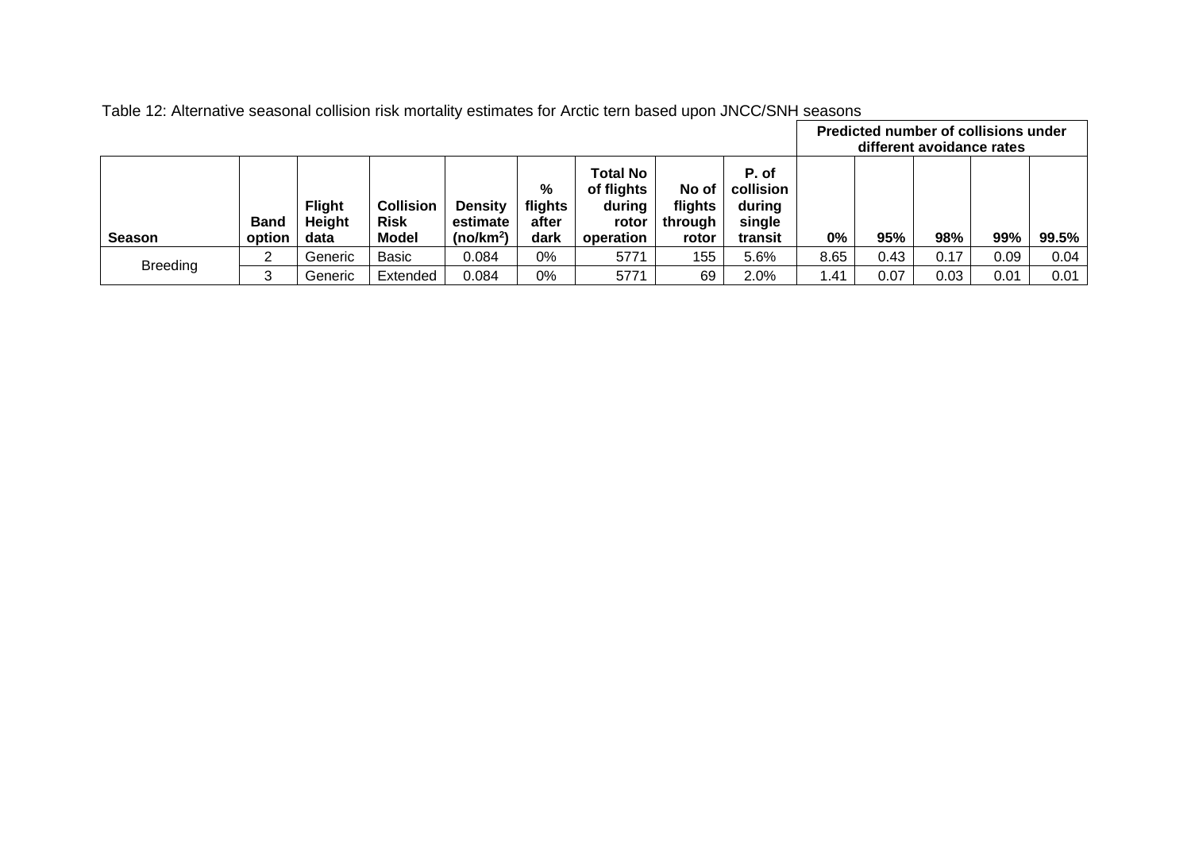|                 |                       |                                 |                                                 |                                                     |                               |                                                               |                                      |                                                   |       | Predicted number of collisions under<br>different avoidance rates |      |      |       |  |  |
|-----------------|-----------------------|---------------------------------|-------------------------------------------------|-----------------------------------------------------|-------------------------------|---------------------------------------------------------------|--------------------------------------|---------------------------------------------------|-------|-------------------------------------------------------------------|------|------|-------|--|--|
| <b>Season</b>   | <b>Band</b><br>option | <b>Flight</b><br>Height<br>data | <b>Collision</b><br><b>Risk</b><br><b>Model</b> | <b>Density</b><br>estimate<br>(no/km <sup>2</sup> ) | %<br>flights<br>after<br>dark | <b>Total No</b><br>of flights<br>during<br>rotor<br>operation | No of<br>flights<br>through<br>rotor | P. of<br>collision<br>during<br>single<br>transit | $0\%$ | 95%                                                               | 98%  | 99%  | 99.5% |  |  |
| <b>Breeding</b> | ົ                     | Generic                         | Basic                                           | 0.084                                               | 0%                            | 5771                                                          | 155                                  | 5.6%                                              | 8.65  | 0.43                                                              | 0.17 | 0.09 | 0.04  |  |  |
|                 | 3                     | Generic                         | Extended                                        | 0.084                                               | 0%                            | 5771                                                          | 69                                   | 2.0%                                              | 1.41  | 0.07                                                              | 0.03 | 0.01 | 0.01  |  |  |

Table 12: Alternative seasonal collision risk mortality estimates for Arctic tern based upon JNCC/SNH seasons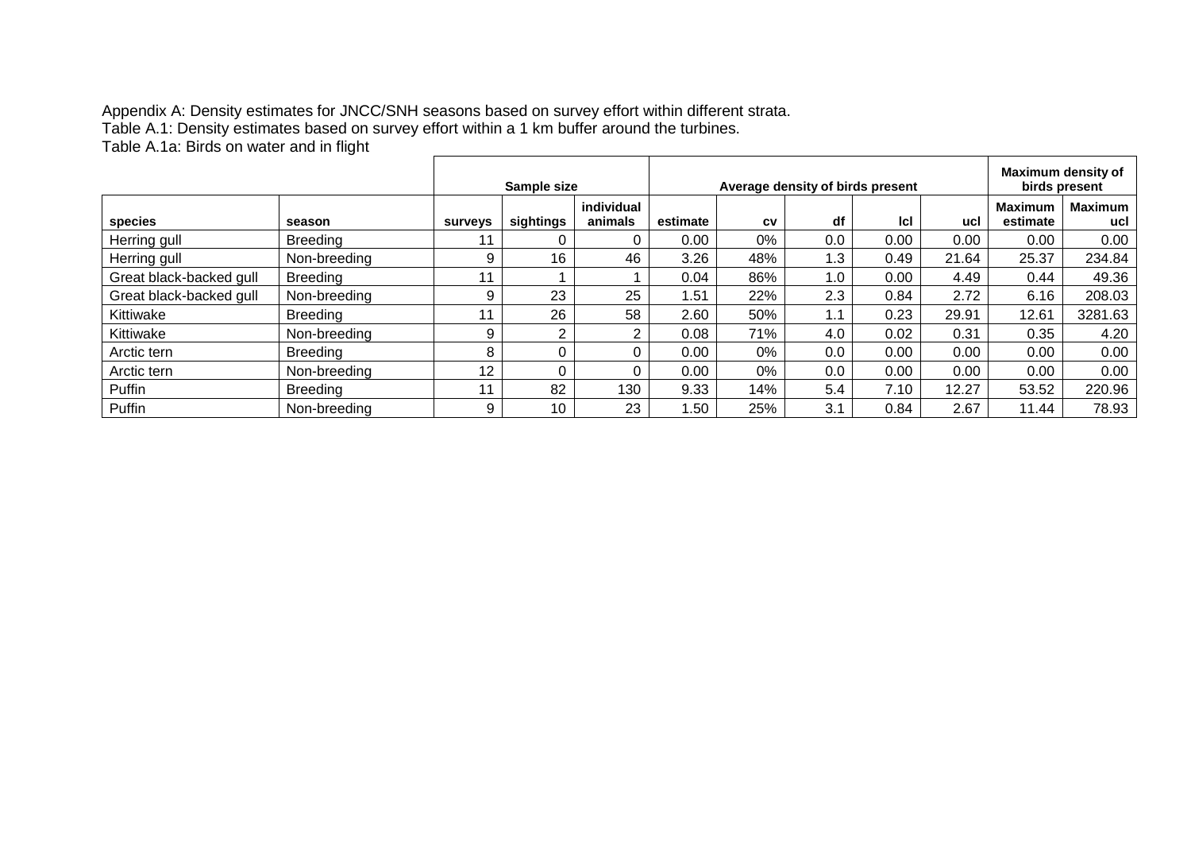Appendix A: Density estimates for JNCC/SNH seasons based on survey effort within different strata. Table A.1: Density estimates based on survey effort within a 1 km buffer around the turbines. Table A.1a: Birds on water and in flight

|                         |                 | Sample size    |           |                       |          | Average density of birds present |     | Maximum density of<br>birds present |       |                            |                       |
|-------------------------|-----------------|----------------|-----------|-----------------------|----------|----------------------------------|-----|-------------------------------------|-------|----------------------------|-----------------------|
| species                 | season          | <b>surveys</b> | sightings | individual<br>animals | estimate | CV                               | df  | Icl                                 | ucl   | <b>Maximum</b><br>estimate | <b>Maximum</b><br>ucl |
| Herring gull            | Breeding        |                |           |                       | 0.00     | 0%                               | 0.0 | 0.00                                | 0.00  | 0.00                       | 0.00                  |
| Herring gull            | Non-breeding    | 9              | 16        | 46                    | 3.26     | 48%                              | 1.3 | 0.49                                | 21.64 | 25.37                      | 234.84                |
| Great black-backed gull | <b>Breeding</b> |                |           |                       | 0.04     | 86%                              | 1.0 | 0.00                                | 4.49  | 0.44                       | 49.36                 |
| Great black-backed gull | Non-breeding    | 9              | 23        | 25                    | 1.51     | 22%                              | 2.3 | 0.84                                | 2.72  | 6.16                       | 208.03                |
| Kittiwake               | <b>Breeding</b> |                | 26        | 58                    | 2.60     | 50%                              | 1.1 | 0.23                                | 29.91 | 12.61                      | 3281.63               |
| Kittiwake               | Non-breeding    | 9              | ⌒         | 2                     | 0.08     | 71%                              | 4.0 | 0.02                                | 0.31  | 0.35                       | 4.20                  |
| Arctic tern             | <b>Breeding</b> | 8              |           | 0                     | 0.00     | 0%                               | 0.0 | 0.00                                | 0.00  | 0.00                       | 0.00                  |
| Arctic tern             | Non-breeding    | 12             |           | 0                     | 0.00     | 0%                               | 0.0 | 0.00                                | 0.00  | 0.00                       | 0.00                  |
| Puffin                  | <b>Breeding</b> |                | 82        | 130                   | 9.33     | 14%                              | 5.4 | 7.10                                | 12.27 | 53.52                      | 220.96                |
| Puffin                  | Non-breeding    | 9              | 10        | 23                    | .50      | 25%                              | 3.1 | 0.84                                | 2.67  | 11.44                      | 78.93                 |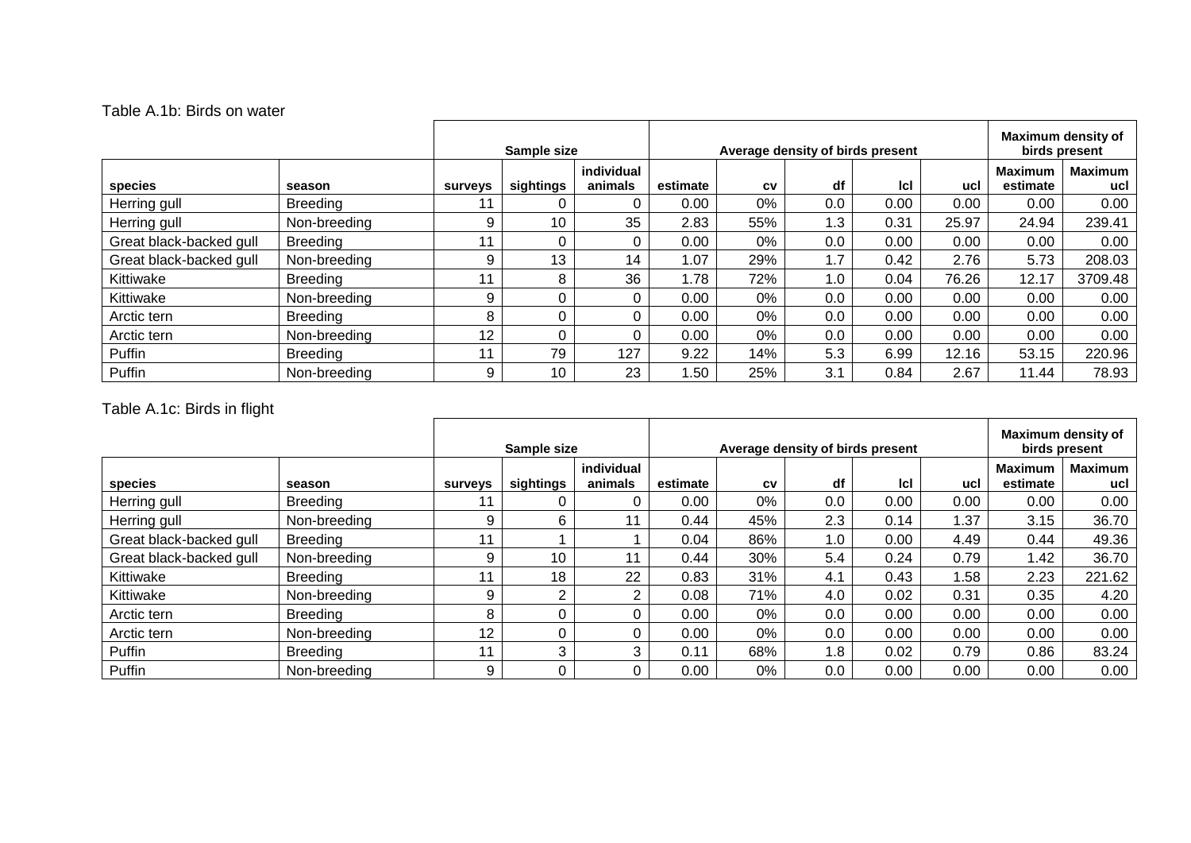#### Table A.1b: Birds on water

|                         |                 | Sample size    |           | Average density of birds present |          |     |     |      | Maximum density of<br>birds present |                            |                       |
|-------------------------|-----------------|----------------|-----------|----------------------------------|----------|-----|-----|------|-------------------------------------|----------------------------|-----------------------|
| species                 | season          | <b>surveys</b> | sightings | individual<br>animals            | estimate | CV  | df  | lcl  | ucl                                 | <b>Maximum</b><br>estimate | <b>Maximum</b><br>ucl |
| Herring gull            | <b>Breeding</b> |                |           | 0                                | 0.00     | 0%  | 0.0 | 0.00 | 0.00                                | 0.00                       | 0.00                  |
| Herring gull            | Non-breeding    | 9              | 10        | 35                               | 2.83     | 55% | 1.3 | 0.31 | 25.97                               | 24.94                      | 239.41                |
| Great black-backed gull | <b>Breeding</b> | 11             |           | 0                                | 0.00     | 0%  | 0.0 | 0.00 | 0.00                                | 0.00                       | 0.00                  |
| Great black-backed gull | Non-breeding    | 9              | 13        | 14                               | .07      | 29% | 1.7 | 0.42 | 2.76                                | 5.73                       | 208.03                |
| Kittiwake               | <b>Breeding</b> | 11             | 8         | 36                               | 1.78     | 72% | 1.0 | 0.04 | 76.26                               | 12.17                      | 3709.48               |
| Kittiwake               | Non-breeding    | 9              |           | 0                                | 0.00     | 0%  | 0.0 | 0.00 | 0.00                                | 0.00                       | 0.00                  |
| Arctic tern             | <b>Breeding</b> | 8              |           | 0                                | 0.00     | 0%  | 0.0 | 0.00 | 0.00                                | 0.00                       | 0.00                  |
| Arctic tern             | Non-breeding    | 12             |           | 0                                | 0.00     | 0%  | 0.0 | 0.00 | 0.00                                | 0.00                       | 0.00                  |
| Puffin                  | <b>Breeding</b> | - 11           | 79        | 127                              | 9.22     | 14% | 5.3 | 6.99 | 12.16                               | 53.15                      | 220.96                |
| Puffin                  | Non-breeding    | 9              | 10        | 23                               | .50      | 25% | 3.1 | 0.84 | 2.67                                | 11.44                      | 78.93                 |

## Table A.1c: Birds in flight

|                         |                 | Sample size     |           |                       | Average density of birds present |           |     |            |      | Maximum density of<br>birds present |                       |  |
|-------------------------|-----------------|-----------------|-----------|-----------------------|----------------------------------|-----------|-----|------------|------|-------------------------------------|-----------------------|--|
| species                 | season          | <b>surveys</b>  | sightings | individual<br>animals | estimate                         | <b>CV</b> | df  | <b>Icl</b> | ucl  | <b>Maximum</b><br>estimate          | <b>Maximum</b><br>ucl |  |
| Herring gull            | Breeding        |                 |           | 0                     | 0.00                             | 0%        | 0.0 | 0.00       | 0.00 | 0.00                                | 0.00                  |  |
| Herring gull            | Non-breeding    | 9               | 6         | 11                    | 0.44                             | 45%       | 2.3 | 0.14       | 1.37 | 3.15                                | 36.70                 |  |
| Great black-backed gull | <b>Breeding</b> | 11              |           |                       | 0.04                             | 86%       | 1.0 | 0.00       | 4.49 | 0.44                                | 49.36                 |  |
| Great black-backed gull | Non-breeding    | 9               | 10        | 11                    | 0.44                             | 30%       | 5.4 | 0.24       | 0.79 | 1.42                                | 36.70                 |  |
| Kittiwake               | <b>Breeding</b> |                 | 18        | 22                    | 0.83                             | 31%       | 4.1 | 0.43       | 1.58 | 2.23                                | 221.62                |  |
| Kittiwake               | Non-breeding    | 9               | ົ         | 2                     | 0.08                             | 71%       | 4.0 | 0.02       | 0.31 | 0.35                                | 4.20                  |  |
| Arctic tern             | <b>Breeding</b> | 8               |           | $\Omega$              | 0.00                             | 0%        | 0.0 | 0.00       | 0.00 | 0.00                                | 0.00                  |  |
| Arctic tern             | Non-breeding    | 12 <sup>2</sup> |           | 0                     | 0.00                             | 0%        | 0.0 | 0.00       | 0.00 | 0.00                                | 0.00                  |  |
| Puffin                  | <b>Breeding</b> | 11              | 3         | 3                     | 0.11                             | 68%       | 1.8 | 0.02       | 0.79 | 0.86                                | 83.24                 |  |
| Puffin                  | Non-breeding    | 9               |           | 0                     | 0.00                             | 0%        | 0.0 | 0.00       | 0.00 | 0.00                                | 0.00                  |  |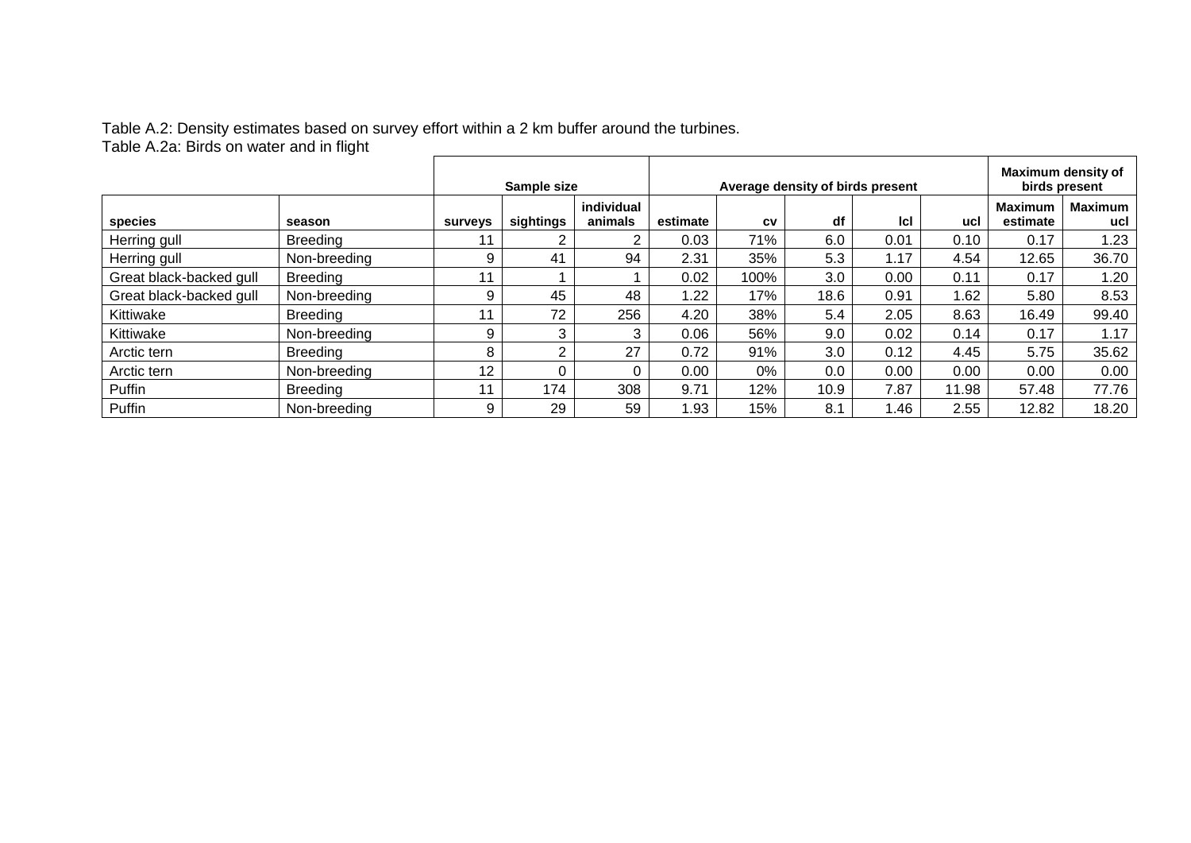#### Table A.2: Density estimates based on survey effort within a 2 km buffer around the turbines. Table A.2a: Birds on water and in flight

|                         |                 | Sample size    |           |                       | Average density of birds present |           |      |      |       | Maximum density of<br>birds present |                       |  |
|-------------------------|-----------------|----------------|-----------|-----------------------|----------------------------------|-----------|------|------|-------|-------------------------------------|-----------------------|--|
| species                 | season          | <b>surveys</b> | sightings | individual<br>animals | estimate                         | <b>CV</b> | df   | Icl  | ucl   | <b>Maximum</b><br>estimate          | <b>Maximum</b><br>ucl |  |
| Herring gull            | <b>Breeding</b> |                |           | っ                     | 0.03                             | 71%       | 6.0  | 0.01 | 0.10  | 0.17                                | 1.23                  |  |
| Herring gull            | Non-breeding    | 9              | 41        | 94                    | 2.31                             | 35%       | 5.3  | 1.17 | 4.54  | 12.65                               | 36.70                 |  |
| Great black-backed gull | <b>Breeding</b> | 11             |           |                       | 0.02                             | 100%      | 3.0  | 0.00 | 0.11  | 0.17                                | 1.20                  |  |
| Great black-backed gull | Non-breeding    | 9              | 45        | 48                    | 1.22                             | 17%       | 18.6 | 0.91 | 1.62  | 5.80                                | 8.53                  |  |
| Kittiwake               | <b>Breeding</b> | 11             | 72        | 256                   | 4.20                             | 38%       | 5.4  | 2.05 | 8.63  | 16.49                               | 99.40                 |  |
| Kittiwake               | Non-breeding    | 9              | 3         | 3                     | 0.06                             | 56%       | 9.0  | 0.02 | 0.14  | 0.17                                | 1.17                  |  |
| Arctic tern             | <b>Breeding</b> | 8              | C         | 27                    | 0.72                             | 91%       | 3.0  | 0.12 | 4.45  | 5.75                                | 35.62                 |  |
| Arctic tern             | Non-breeding    | 12             | 0         | 0                     | 0.00                             | 0%        | 0.0  | 0.00 | 0.00  | 0.00                                | 0.00                  |  |
| Puffin                  | <b>Breeding</b> | 11             | 174       | 308                   | 9.71                             | 12%       | 10.9 | 7.87 | 11.98 | 57.48                               | 77.76                 |  |
| Puffin                  | Non-breeding    | 9              | 29        | 59                    | 1.93                             | 15%       | 8.1  | 1.46 | 2.55  | 12.82                               | 18.20                 |  |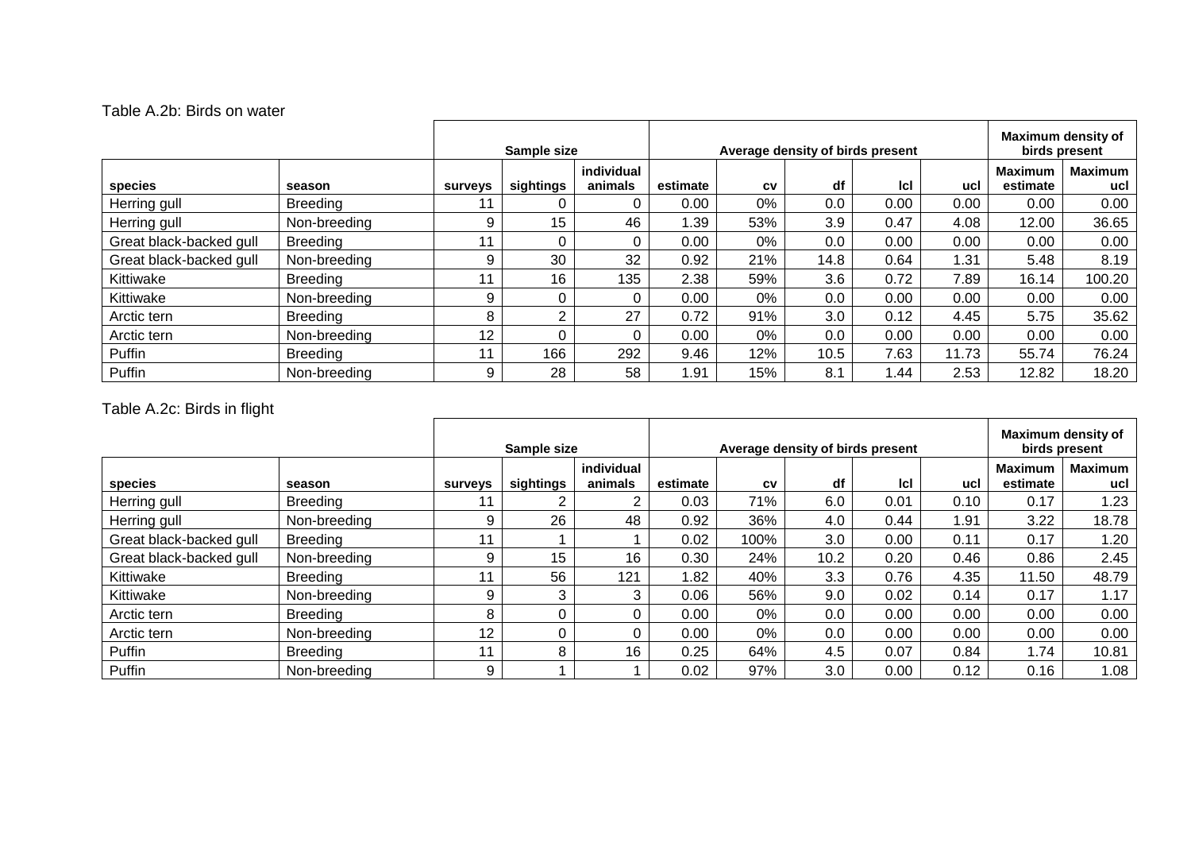#### Table A.2b: Birds on water

|                         |                 | Sample size    |           | Average density of birds present |          |     |      |            | Maximum density of<br>birds present |                            |                       |
|-------------------------|-----------------|----------------|-----------|----------------------------------|----------|-----|------|------------|-------------------------------------|----------------------------|-----------------------|
| species                 | season          | <b>surveys</b> | sightings | individual<br>animals            | estimate | CV  | df   | <b>Icl</b> | ucl                                 | <b>Maximum</b><br>estimate | <b>Maximum</b><br>ucl |
| Herring gull            | <b>Breeding</b> |                |           | $\Omega$                         | 0.00     | 0%  | 0.0  | 0.00       | 0.00                                | 0.00                       | 0.00                  |
| Herring gull            | Non-breeding    | 9              | 15        | 46                               | 1.39     | 53% | 3.9  | 0.47       | 4.08                                | 12.00                      | 36.65                 |
| Great black-backed gull | <b>Breeding</b> | 11             |           | 0                                | 0.00     | 0%  | 0.0  | 0.00       | 0.00                                | 0.00                       | 0.00                  |
| Great black-backed gull | Non-breeding    | 9              | 30        | 32                               | 0.92     | 21% | 14.8 | 0.64       | 1.31                                | 5.48                       | 8.19                  |
| Kittiwake               | <b>Breeding</b> | 11             | 16        | 135                              | 2.38     | 59% | 3.6  | 0.72       | 7.89                                | 16.14                      | 100.20                |
| Kittiwake               | Non-breeding    | 9              |           | 0                                | 0.00     | 0%  | 0.0  | 0.00       | 0.00                                | 0.00                       | 0.00                  |
| Arctic tern             | <b>Breeding</b> | 8              | ◠         | 27                               | 0.72     | 91% | 3.0  | 0.12       | 4.45                                | 5.75                       | 35.62                 |
| Arctic tern             | Non-breeding    | 12             |           | $\Omega$                         | 0.00     | 0%  | 0.0  | 0.00       | 0.00                                | 0.00                       | 0.00                  |
| Puffin                  | <b>Breeding</b> | - 11           | 166       | 292                              | 9.46     | 12% | 10.5 | 7.63       | 11.73                               | 55.74                      | 76.24                 |
| Puffin                  | Non-breeding    | 9              | 28        | 58                               | 91. ا    | 15% | 8.1  | 1.44       | 2.53                                | 12.82                      | 18.20                 |

## Table A.2c: Birds in flight

|                         |                 | Sample size     |           |                       | Average density of birds present |           |      |            |      | Maximum density of<br>birds present |                       |  |
|-------------------------|-----------------|-----------------|-----------|-----------------------|----------------------------------|-----------|------|------------|------|-------------------------------------|-----------------------|--|
| species                 | season          | <b>surveys</b>  | sightings | individual<br>animals | estimate                         | <b>CV</b> | df   | <b>Icl</b> | ucl  | <b>Maximum</b><br>estimate          | <b>Maximum</b><br>ucl |  |
| Herring gull            | Breeding        |                 |           | 2                     | 0.03                             | 71%       | 6.0  | 0.01       | 0.10 | 0.17                                | .23                   |  |
| Herring gull            | Non-breeding    | 9               | 26        | 48                    | 0.92                             | 36%       | 4.0  | 0.44       | 1.91 | 3.22                                | 18.78                 |  |
| Great black-backed gull | <b>Breeding</b> | 11              |           |                       | 0.02                             | 100%      | 3.0  | 0.00       | 0.11 | 0.17                                | .20                   |  |
| Great black-backed gull | Non-breeding    | 9               | 15        | 16                    | 0.30                             | 24%       | 10.2 | 0.20       | 0.46 | 0.86                                | 2.45                  |  |
| Kittiwake               | <b>Breeding</b> |                 | 56        | 121                   | .82                              | 40%       | 3.3  | 0.76       | 4.35 | 11.50                               | 48.79                 |  |
| Kittiwake               | Non-breeding    | 9               | 3         | 3                     | 0.06                             | 56%       | 9.0  | 0.02       | 0.14 | 0.17                                | 1.17                  |  |
| Arctic tern             | <b>Breeding</b> | 8               |           | 0                     | 0.00                             | 0%        | 0.0  | 0.00       | 0.00 | 0.00                                | 0.00                  |  |
| Arctic tern             | Non-breeding    | 12 <sup>2</sup> |           | $\Omega$              | 0.00                             | 0%        | 0.0  | 0.00       | 0.00 | 0.00                                | 0.00                  |  |
| Puffin                  | <b>Breeding</b> | 11              | 8         | 16                    | 0.25                             | 64%       | 4.5  | 0.07       | 0.84 | 1.74                                | 10.81                 |  |
| Puffin                  | Non-breeding    | 9               |           |                       | 0.02                             | 97%       | 3.0  | 0.00       | 0.12 | 0.16                                | 1.08                  |  |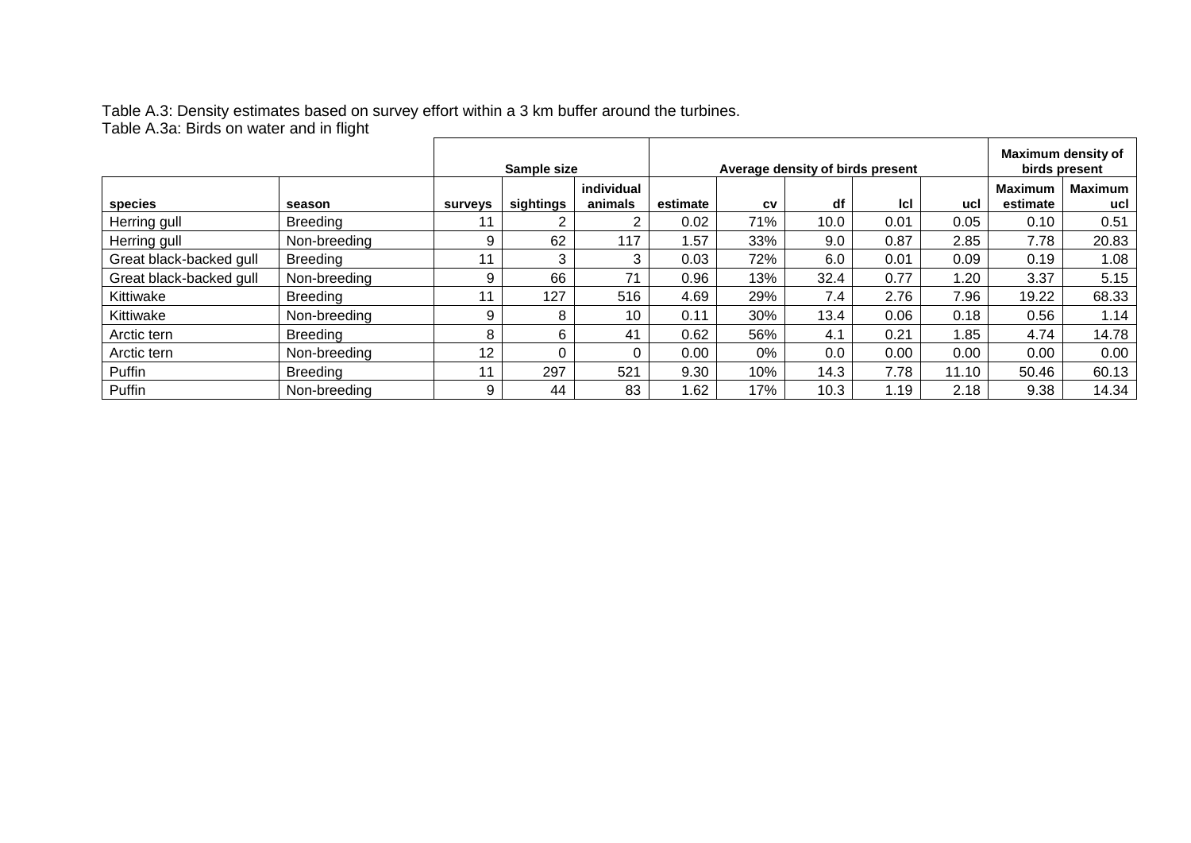#### Table A.3: Density estimates based on survey effort within a 3 km buffer around the turbines. Table A.3a: Birds on water and in flight

|                         |                 | Sample size |           | Average density of birds present |          |     |      |      | Maximum density of<br>birds present |                            |                       |
|-------------------------|-----------------|-------------|-----------|----------------------------------|----------|-----|------|------|-------------------------------------|----------------------------|-----------------------|
| species                 | season          | surveys     | sightings | individual<br>animals            | estimate | CV  | df   | Icl  | ucl                                 | <b>Maximum</b><br>estimate | <b>Maximum</b><br>ucl |
| Herring gull            | <b>Breeding</b> |             |           | 2                                | 0.02     | 71% | 10.0 | 0.01 | 0.05                                | 0.10                       | 0.51                  |
| Herring gull            | Non-breeding    | 9           | 62        | 117                              | .57      | 33% | 9.0  | 0.87 | 2.85                                | 7.78                       | 20.83                 |
| Great black-backed gull | <b>Breeding</b> |             | 3         | 3                                | 0.03     | 72% | 6.0  | 0.01 | 0.09                                | 0.19                       | 1.08                  |
| Great black-backed gull | Non-breeding    | 9           | 66        | 71                               | 0.96     | 13% | 32.4 | 0.77 | 1.20                                | 3.37                       | 5.15                  |
| Kittiwake               | <b>Breeding</b> |             | 127       | 516                              | 4.69     | 29% | 7.4  | 2.76 | 7.96                                | 19.22                      | 68.33                 |
| Kittiwake               | Non-breeding    | 9           | 8         | 10                               | 0.11     | 30% | 13.4 | 0.06 | 0.18                                | 0.56                       | 1.14                  |
| Arctic tern             | <b>Breeding</b> | 8           | 6         | 41                               | 0.62     | 56% | 4.1  | 0.21 | 1.85                                | 4.74                       | 14.78                 |
| Arctic tern             | Non-breeding    | 12          |           | 0                                | 0.00     | 0%  | 0.0  | 0.00 | 0.00                                | 0.00                       | 0.00                  |
| Puffin                  | <b>Breeding</b> |             | 297       | 521                              | 9.30     | 10% | 14.3 | 7.78 | 11.10                               | 50.46                      | 60.13                 |
| Puffin                  | Non-breeding    | 9           | 44        | 83                               | .62      | 17% | 10.3 | 1.19 | 2.18                                | 9.38                       | 14.34                 |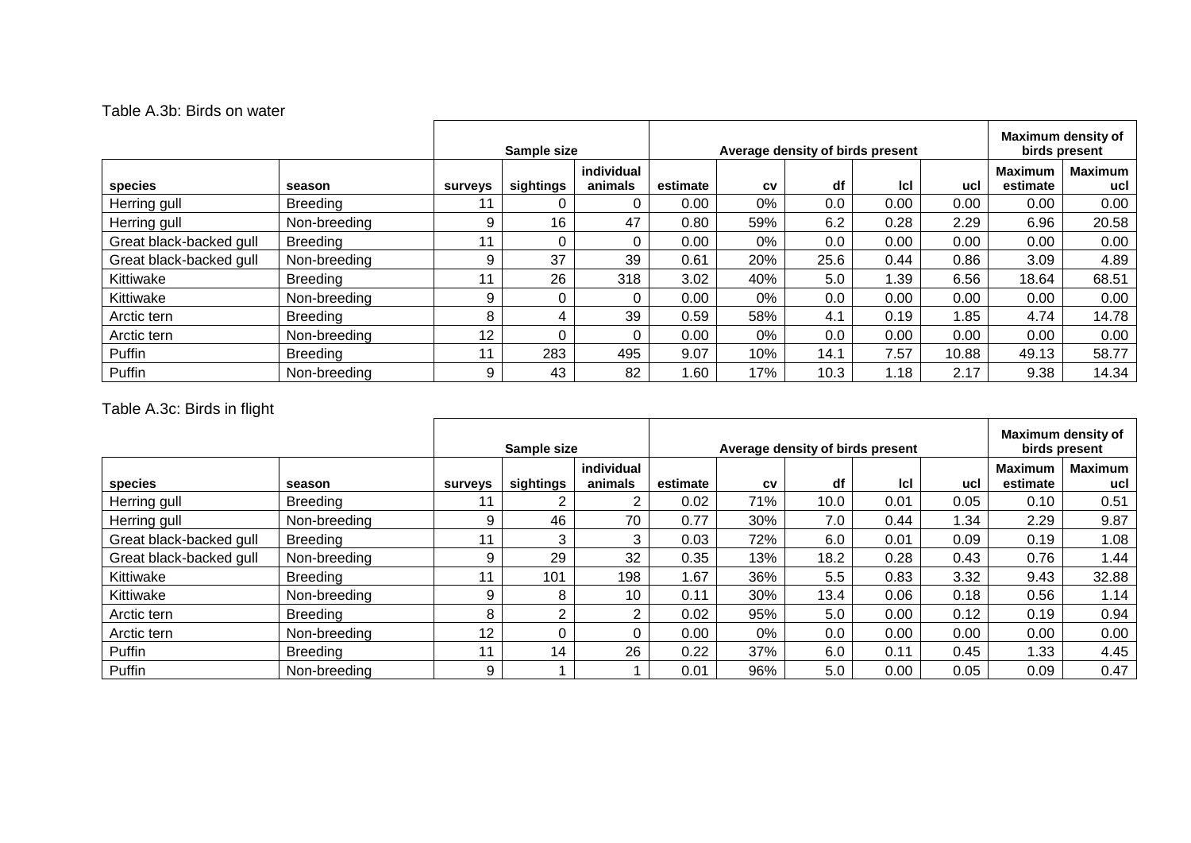#### Table A.3b: Birds on water

|                         |                 | Sample size    |           | Average density of birds present |          |       |      |            | Maximum density of<br>birds present |                            |                       |
|-------------------------|-----------------|----------------|-----------|----------------------------------|----------|-------|------|------------|-------------------------------------|----------------------------|-----------------------|
| species                 | season          | <b>surveys</b> | sightings | individual<br>animals            | estimate | CV    | df   | <b>Icl</b> | ucl                                 | <b>Maximum</b><br>estimate | <b>Maximum</b><br>ucl |
| Herring gull            | <b>Breeding</b> |                |           | 0                                | 0.00     | 0%    | 0.0  | 0.00       | 0.00                                | 0.00                       | 0.00                  |
| Herring gull            | Non-breeding    | 9              | 16        | 47                               | 0.80     | 59%   | 6.2  | 0.28       | 2.29                                | 6.96                       | 20.58                 |
| Great black-backed gull | <b>Breeding</b> | 11             |           | 0                                | 0.00     | 0%    | 0.0  | 0.00       | 0.00                                | 0.00                       | 0.00                  |
| Great black-backed gull | Non-breeding    | 9              | 37        | 39                               | 0.61     | 20%   | 25.6 | 0.44       | 0.86                                | 3.09                       | 4.89                  |
| Kittiwake               | <b>Breeding</b> |                | 26        | 318                              | 3.02     | 40%   | 5.0  | 1.39       | 6.56                                | 18.64                      | 68.51                 |
| Kittiwake               | Non-breeding    | 9              |           | 0                                | 0.00     | $0\%$ | 0.0  | 0.00       | 0.00                                | 0.00                       | 0.00                  |
| Arctic tern             | <b>Breeding</b> | 8              | 4         | 39                               | 0.59     | 58%   | 4.1  | 0.19       | 1.85                                | 4.74                       | 14.78                 |
| Arctic tern             | Non-breeding    | 12             |           | 0                                | 0.00     | 0%    | 0.0  | 0.00       | 0.00                                | 0.00                       | 0.00                  |
| Puffin                  | <b>Breeding</b> | - 11           | 283       | 495                              | 9.07     | 10%   | 14.1 | 7.57       | 10.88                               | 49.13                      | 58.77                 |
| Puffin                  | Non-breeding    | 9              | 43        | 82                               | 1.60     | 17%   | 10.3 | 1.18       | 2.17                                | 9.38                       | 14.34                 |

## Table A.3c: Birds in flight

|                         |                 | Sample size     |           |                       | Average density of birds present |           |      |            |      | Maximum density of<br>birds present |                       |  |
|-------------------------|-----------------|-----------------|-----------|-----------------------|----------------------------------|-----------|------|------------|------|-------------------------------------|-----------------------|--|
| species                 | season          | <b>surveys</b>  | sightings | individual<br>animals | estimate                         | <b>CV</b> | df   | <b>Icl</b> | ucl  | <b>Maximum</b><br>estimate          | <b>Maximum</b><br>ucl |  |
| Herring gull            | Breeding        |                 |           | 2                     | 0.02                             | 71%       | 10.0 | 0.01       | 0.05 | 0.10                                | 0.51                  |  |
| Herring gull            | Non-breeding    | 9               | 46        | 70                    | 0.77                             | 30%       | 7.0  | 0.44       | 1.34 | 2.29                                | 9.87                  |  |
| Great black-backed gull | <b>Breeding</b> | 11              | 3         | 3                     | 0.03                             | 72%       | 6.0  | 0.01       | 0.09 | 0.19                                | 1.08                  |  |
| Great black-backed gull | Non-breeding    | 9               | 29        | 32                    | 0.35                             | 13%       | 18.2 | 0.28       | 0.43 | 0.76                                | .44                   |  |
| Kittiwake               | <b>Breeding</b> | 44              | 101       | 198                   | .67                              | 36%       | 5.5  | 0.83       | 3.32 | 9.43                                | 32.88                 |  |
| Kittiwake               | Non-breeding    | 9               | 8         | 10                    | 0.11                             | 30%       | 13.4 | 0.06       | 0.18 | 0.56                                | 1.14                  |  |
| Arctic tern             | <b>Breeding</b> | 8               | ⌒         | 2                     | 0.02                             | 95%       | 5.0  | 0.00       | 0.12 | 0.19                                | 0.94                  |  |
| Arctic tern             | Non-breeding    | 12 <sup>2</sup> |           | $\Omega$              | 0.00                             | 0%        | 0.0  | 0.00       | 0.00 | 0.00                                | 0.00                  |  |
| Puffin                  | <b>Breeding</b> | 11              | 14        | 26                    | 0.22                             | 37%       | 6.0  | 0.11       | 0.45 | 1.33                                | 4.45                  |  |
| Puffin                  | Non-breeding    | 9               |           |                       | 0.01                             | 96%       | 5.0  | 0.00       | 0.05 | 0.09                                | 0.47                  |  |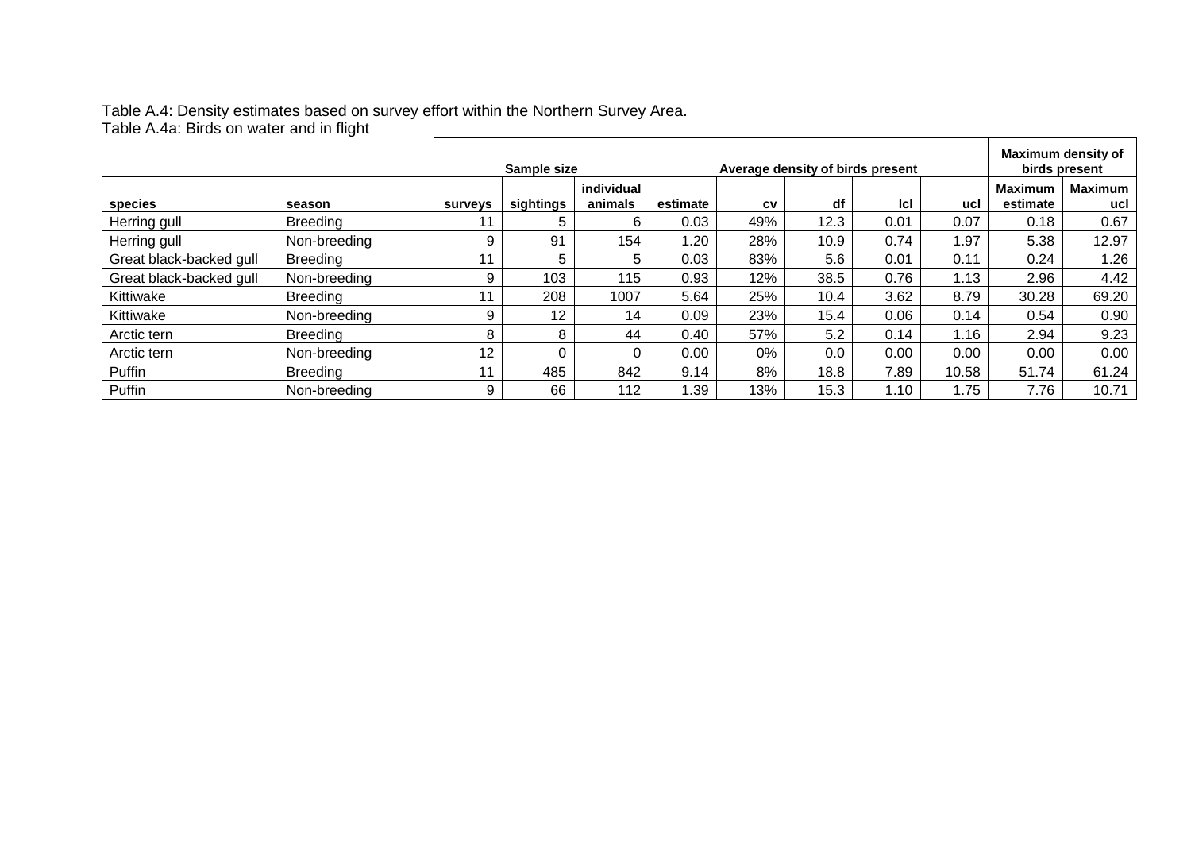Table A.4: Density estimates based on survey effort within the Northern Survey Area. Table A.4a: Birds on water and in flight

|                         |                 | Sample size     |           | Average density of birds present |          |     |      |            | Maximum density of<br>birds present |                     |                       |
|-------------------------|-----------------|-----------------|-----------|----------------------------------|----------|-----|------|------------|-------------------------------------|---------------------|-----------------------|
| species                 | season          | <b>surveys</b>  | sightings | individual<br>animals            | estimate | CV  | df   | <b>Icl</b> | ucl                                 | Maximum<br>estimate | <b>Maximum</b><br>ucl |
| Herring gull            | <b>Breeding</b> | 11              | 5         | 6                                | 0.03     | 49% | 12.3 | 0.01       | 0.07                                | 0.18                | 0.67                  |
| Herring gull            | Non-breeding    | 9               | 91        | 154                              | 1.20     | 28% | 10.9 | 0.74       | 1.97                                | 5.38                | 12.97                 |
| Great black-backed gull | <b>Breeding</b> | 11              | 5         | 5                                | 0.03     | 83% | 5.6  | 0.01       | 0.11                                | 0.24                | 1.26                  |
| Great black-backed gull | Non-breeding    | 9               | 103       | 115                              | 0.93     | 12% | 38.5 | 0.76       | 1.13                                | 2.96                | 4.42                  |
| Kittiwake               | <b>Breeding</b> | 11              | 208       | 1007                             | 5.64     | 25% | 10.4 | 3.62       | 8.79                                | 30.28               | 69.20                 |
| Kittiwake               | Non-breeding    | 9               | 12        | 14                               | 0.09     | 23% | 15.4 | 0.06       | 0.14                                | 0.54                | 0.90                  |
| Arctic tern             | Breeding        | 8               | 8         | 44                               | 0.40     | 57% | 5.2  | 0.14       | 1.16                                | 2.94                | 9.23                  |
| Arctic tern             | Non-breeding    | 12 <sup>2</sup> |           | 0                                | 0.00     | 0%  | 0.0  | 0.00       | 0.00                                | 0.00                | 0.00                  |
| Puffin                  | <b>Breeding</b> | 11              | 485       | 842                              | 9.14     | 8%  | 18.8 | 7.89       | 10.58                               | 51.74               | 61.24                 |
| Puffin                  | Non-breeding    | 9               | 66        | 112                              | .39      | 13% | 15.3 | 1.10       | 1.75                                | 7.76                | 10.71                 |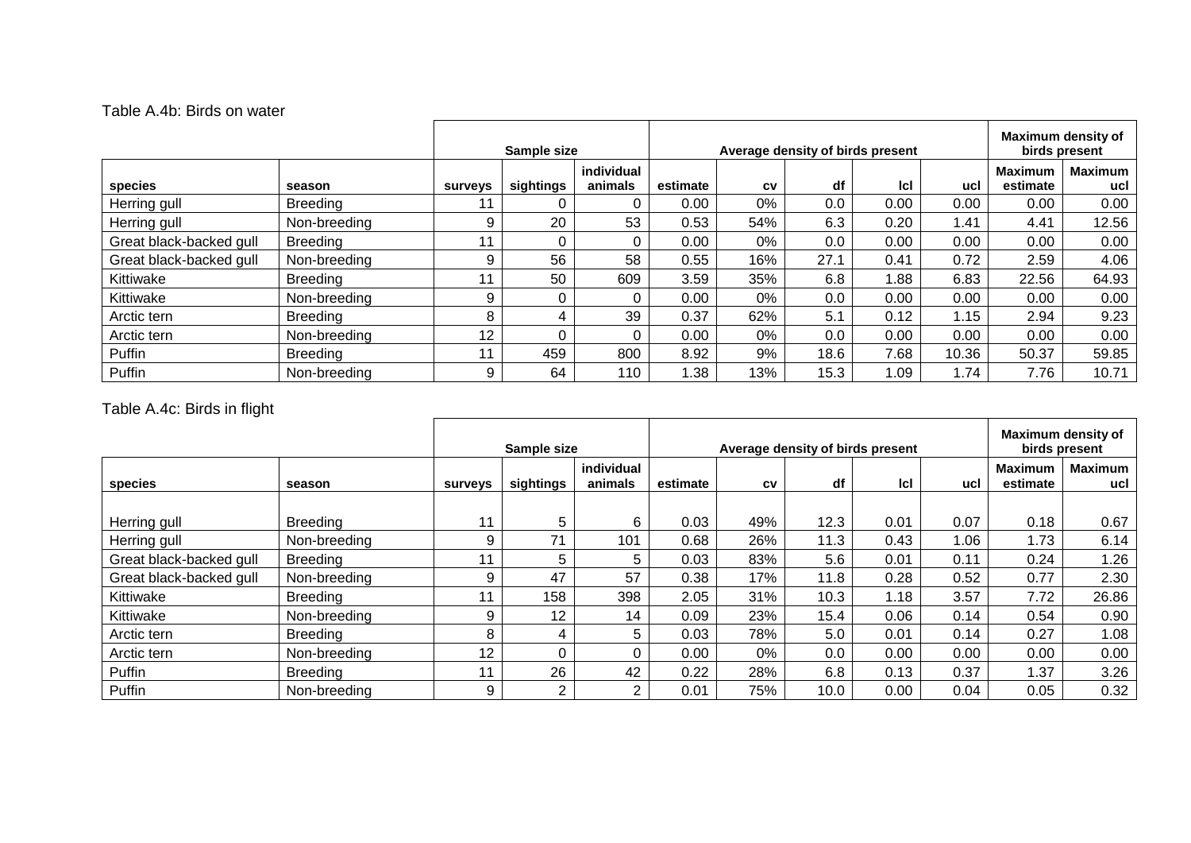#### Table A.4b: Birds on water

|                         |                 | Sample size    |           |                       | Average density of birds present |       |      |      |       | Maximum density of<br>birds present |                       |  |
|-------------------------|-----------------|----------------|-----------|-----------------------|----------------------------------|-------|------|------|-------|-------------------------------------|-----------------------|--|
| species                 | season          | <b>surveys</b> | sightings | individual<br>animals | estimate                         | CV    | df   | lcl  | ucl   | <b>Maximum</b><br>estimate          | <b>Maximum</b><br>ucl |  |
| Herring gull            | <b>Breeding</b> |                |           | 0                     | 0.00                             | 0%    | 0.0  | 0.00 | 0.00  | 0.00                                | 0.00                  |  |
| Herring gull            | Non-breeding    | 9              | 20        | 53                    | 0.53                             | 54%   | 6.3  | 0.20 | 1.41  | 4.41                                | 12.56                 |  |
| Great black-backed gull | <b>Breeding</b> | 44             |           | 0                     | 0.00                             | 0%    | 0.0  | 0.00 | 0.00  | 0.00                                | 0.00                  |  |
| Great black-backed gull | Non-breeding    | 9              | 56        | 58                    | 0.55                             | 16%   | 27.1 | 0.41 | 0.72  | 2.59                                | 4.06                  |  |
| Kittiwake               | <b>Breeding</b> |                | 50        | 609                   | 3.59                             | 35%   | 6.8  | 1.88 | 6.83  | 22.56                               | 64.93                 |  |
| Kittiwake               | Non-breeding    | 9              |           | $\Omega$              | 0.00                             | $0\%$ | 0.0  | 0.00 | 0.00  | 0.00                                | 0.00                  |  |
| Arctic tern             | <b>Breeding</b> | 8              | 4         | 39                    | 0.37                             | 62%   | 5.1  | 0.12 | 1.15  | 2.94                                | 9.23                  |  |
| Arctic tern             | Non-breeding    | 12             |           | 0                     | 0.00                             | 0%    | 0.0  | 0.00 | 0.00  | 0.00                                | 0.00                  |  |
| Puffin                  | Breedina        | 11             | 459       | 800                   | 8.92                             | 9%    | 18.6 | 7.68 | 10.36 | 50.37                               | 59.85                 |  |
| Puffin                  | Non-breeding    | 9              | 64        | 110                   | .38                              | 13%   | 15.3 | 1.09 | 1.74  | 7.76                                | 10.71                 |  |

## Table A.4c: Birds in flight

|                         |                 |                | Sample size |                       |          | Average density of birds present |      |      |      |                            | Maximum density of<br>birds present |  |  |
|-------------------------|-----------------|----------------|-------------|-----------------------|----------|----------------------------------|------|------|------|----------------------------|-------------------------------------|--|--|
| species                 | season          | <b>surveys</b> | sightings   | individual<br>animals | estimate | CV                               | df   | Icl  | ucl  | <b>Maximum</b><br>estimate | <b>Maximum</b><br>ucl               |  |  |
|                         |                 |                |             |                       |          |                                  |      |      |      |                            |                                     |  |  |
| Herring gull            | <b>Breeding</b> | 11             | 5           | 6                     | 0.03     | 49%                              | 12.3 | 0.01 | 0.07 | 0.18                       | 0.67                                |  |  |
| Herring gull            | Non-breeding    | 9              | 71          | 101                   | 0.68     | 26%                              | 11.3 | 0.43 | 1.06 | 1.73                       | 6.14                                |  |  |
| Great black-backed gull | <b>Breeding</b> | 11             | 5           | 5                     | 0.03     | 83%                              | 5.6  | 0.01 | 0.11 | 0.24                       | .26                                 |  |  |
| Great black-backed gull | Non-breeding    | 9              | 47          | 57                    | 0.38     | 17%                              | 11.8 | 0.28 | 0.52 | 0.77                       | 2.30                                |  |  |
| Kittiwake               | <b>Breeding</b> | 11             | 158         | 398                   | 2.05     | 31%                              | 10.3 | 1.18 | 3.57 | 7.72                       | 26.86                               |  |  |
| Kittiwake               | Non-breeding    | 9              | 12          | 14                    | 0.09     | 23%                              | 15.4 | 0.06 | 0.14 | 0.54                       | 0.90                                |  |  |
| Arctic tern             | <b>Breeding</b> | 8              | 4           | 5                     | 0.03     | 78%                              | 5.0  | 0.01 | 0.14 | 0.27                       | 1.08                                |  |  |
| Arctic tern             | Non-breeding    | 12             | $\Omega$    | $\Omega$              | 0.00     | 0%                               | 0.0  | 0.00 | 0.00 | 0.00                       | 0.00                                |  |  |
| Puffin                  | <b>Breeding</b> | 11             | 26          | 42                    | 0.22     | 28%                              | 6.8  | 0.13 | 0.37 | 1.37                       | 3.26                                |  |  |
| Puffin                  | Non-breeding    | 9              | 2           | 2                     | 0.01     | 75%                              | 10.0 | 0.00 | 0.04 | 0.05                       | 0.32                                |  |  |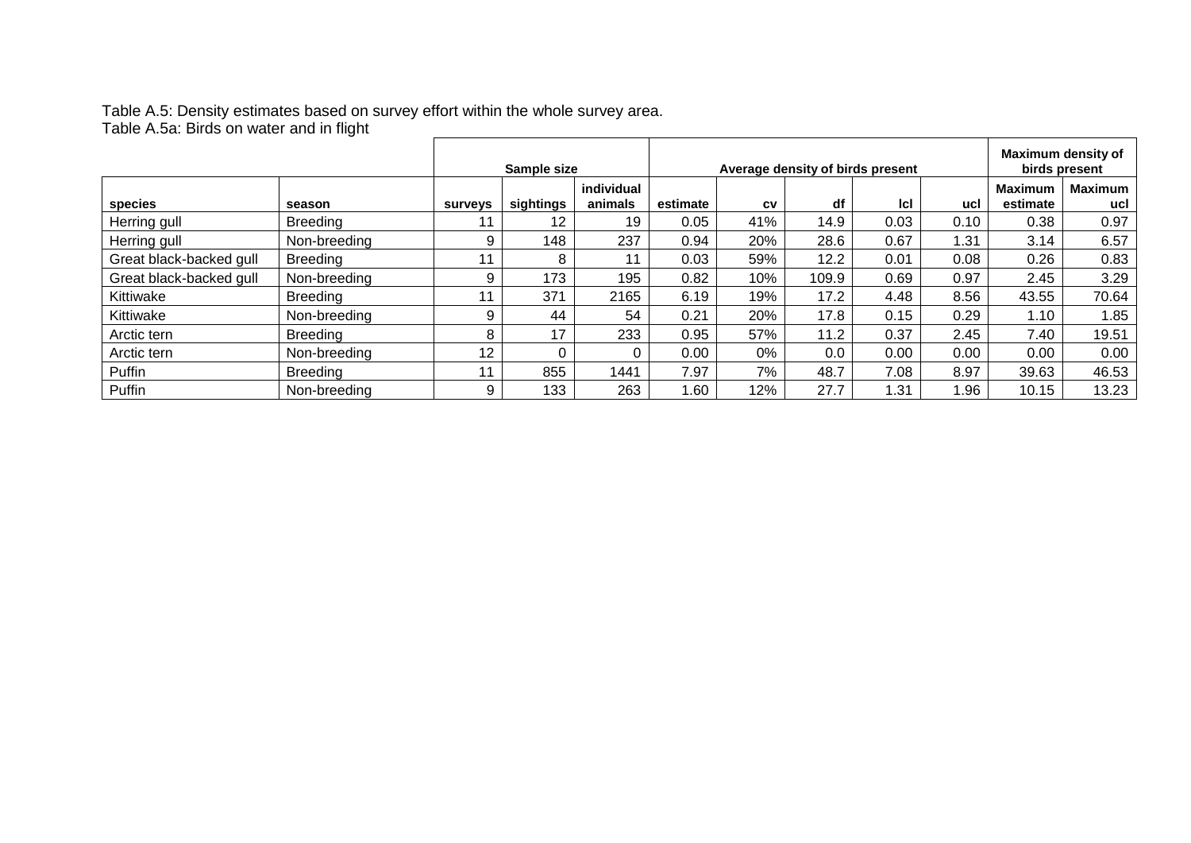Table A.5: Density estimates based on survey effort within the whole survey area. Table A.5a: Birds on water and in flight

|                         |                 | Sample size    |           | Average density of birds present |          |     |       |      | Maximum density of<br>birds present |                            |                       |
|-------------------------|-----------------|----------------|-----------|----------------------------------|----------|-----|-------|------|-------------------------------------|----------------------------|-----------------------|
| species                 | season          | <b>SUIVEVS</b> | sightings | individual<br>animals            | estimate | CV  | df    | Icl  | ucl                                 | <b>Maximum</b><br>estimate | <b>Maximum</b><br>ucl |
| Herring gull            | <b>Breeding</b> |                | 12        | 19                               | 0.05     | 41% | 14.9  | 0.03 | 0.10                                | 0.38                       | 0.97                  |
| Herring gull            | Non-breeding    | 9              | 148       | 237                              | 0.94     | 20% | 28.6  | 0.67 | 1.31                                | 3.14                       | 6.57                  |
| Great black-backed gull | <b>Breeding</b> |                | 8         | 11                               | 0.03     | 59% | 12.2  | 0.01 | 0.08                                | 0.26                       | 0.83                  |
| Great black-backed gull | Non-breeding    | 9              | 173       | 195                              | 0.82     | 10% | 109.9 | 0.69 | 0.97                                | 2.45                       | 3.29                  |
| Kittiwake               | <b>Breeding</b> |                | 371       | 2165                             | 6.19     | 19% | 17.2  | 4.48 | 8.56                                | 43.55                      | 70.64                 |
| Kittiwake               | Non-breeding    | 9              | 44        | 54                               | 0.21     | 20% | 17.8  | 0.15 | 0.29                                | 1.10                       | 1.85                  |
| Arctic tern             | <b>Breeding</b> | 8              | 17        | 233                              | 0.95     | 57% | 11.2  | 0.37 | 2.45                                | 7.40                       | 19.51                 |
| Arctic tern             | Non-breeding    | 12             |           | 0                                | 0.00     | 0%  | 0.0   | 0.00 | 0.00                                | 0.00                       | 0.00                  |
| Puffin                  | <b>Breeding</b> |                | 855       | 1441                             | 7.97     | 7%  | 48.7  | 7.08 | 8.97                                | 39.63                      | 46.53                 |
| Puffin                  | Non-breeding    | 9              | 133       | 263                              | .60      | 12% | 27.7  | 1.31 | 1.96                                | 10.15                      | 13.23                 |